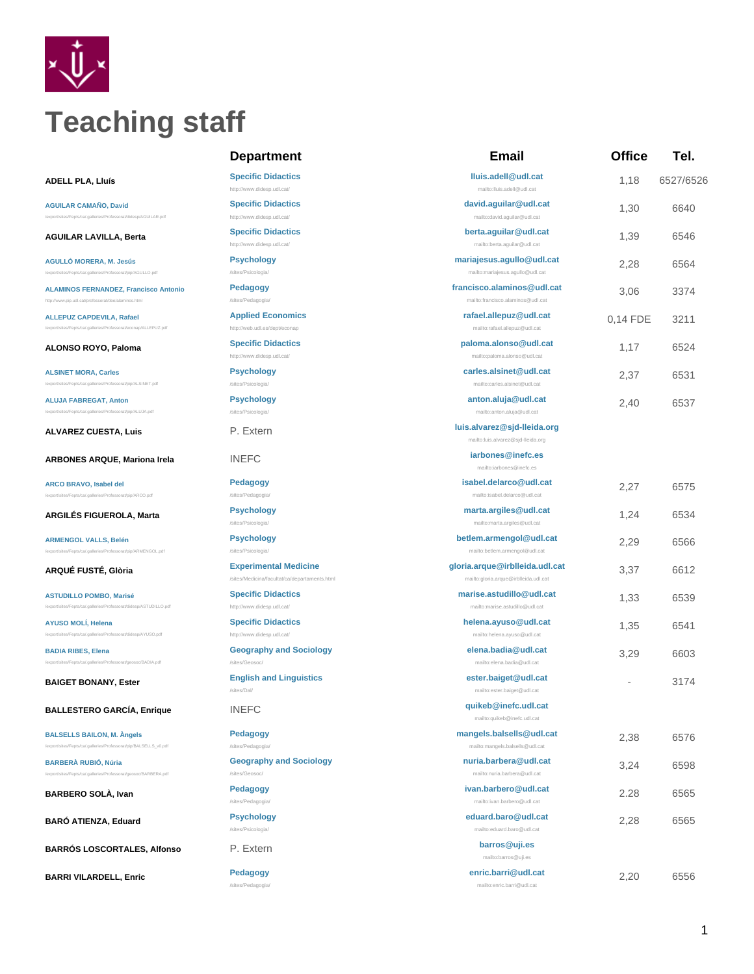

# **Teaching staff**

**AGUILAR CAMAÑO, David**

/export/sites/Fepts/ca/.galleries/Professorat/didesp/AGUILAR.pdf

**AGUILAR LAVILLA, Berta [Specific Didactics](http://www.didesp.udl.cat/)**

**AGULLÓ MORERA, M. Jesús** /export/sites/Fepts/ca/.galleries/Professorat/pip/AGULLO.pdf

**[ALAMINOS FERNANDEZ, Francisco Antonio](http://www.pip.udl.cat/professorat/doe/alaminos.html)** <http://www.pip.udl.cat/professorat/doe/alaminos.html>

p/ALLEPUZ.pdf

**ALLEPUZ CAPDEVILA, Rafael**

**ALSINET MORA, Carles** pip/ALSINET.pdf

**ALUJA FABREGAT, Anton** /export/sites/Fepts/ca/.galleries/Professorat/pip/ALUJA.pdf

**ALVAREZ CUESTA, Luis.** P. Extern

**ARBONES ARQUE, Mariona Irela INEFC** 

/export/sites/Fepts/ca/.galleries/Professorat/pip/ARCO.pdf

**ARCO BRAVO, Isabel del**

**ARGILÉS FIGUEROLA, Marta Psychology**

**ARMENGOL VALLS, Belén** /export/sites/Fepts/ca/.galleries/Professorat/pip/ARMENGOL.pdf

**ASTUDILLO POMBO, Marisé** export/sites/Feet/Sites/Feet/Sites/

**AYUSO MOLÍ, Helena** at/didesp/AYUSO.pdf

**BADIA RIBES, Elena** /export/sites/Fepts/ca/.galleries/Professorat/geosoc/BADIA.pdf

**BALLESTERO GARCÍA, Enrique** INEFC **quikeb@inefc.udl.cat**

**BALSELLS BAILON, M. Àngels** /export/sites/Fepts/ca/.galleries/Professorat/pip/BALSELLS\_v0.pdf

**BARBERÀ RUBIÓ, Núria** es/Fepts/ca/.galleries/Professorat/geosoc/BARBERA.pdf

**BARBERO SOLÀ, Ivan Pedagogy** 

**BARÓ ATIENZA, Eduard Psychology**

**BARRÓS LOSCORTALES, Alfonso P. Extern** 

**BARRI VILARDELL, Enric Pedagogy**

# **Department**

**ADELL PLA, Lluís [Specific Didactics](http://www.didesp.udl.cat/)** <http://www.didesp.udl.cat/>

**[Specific Didactics](http://www.didesp.udl.cat/)**

<http://www.didesp.udl.cat/>

<http://www.didesp.udl.cat/>

**Psychology** /sites/Psicologia/

**Pedagogy** /sites/Pedagogia/

**[Applied Economics](http://web.udl.es/dept/econap)** <http://web.udl.es/dept/econap>

**ALONSO ROYO, Paloma [Specific Didactics](http://www.didesp.udl.cat/)** <http://www.didesp.udl.cat/>

> **Psychology** /sites/Psicologia/

> **Psychology** /sites/Psicologia/

**Pedagogy** /sites/Pedagogia/

/sites/Psicologia/

**Psychology** /sites/Psicologia/

**ARQUÉ FUSTÉ, Glòria Experimental Medicine** /sites/Medicina/facultat/ca/departaments.html

> **[Specific Didactics](http://www.didesp.udl.cat/)** <http://www.didesp.udl.cat/>

**[Specific Didactics](http://www.didesp.udl.cat/)** <http://www.didesp.udl.cat/>

**Geography and Sociology**

**BAIGET BONANY, Ester English and Linguistics** /sites/Dal/

/sites/Geosoc/

**Pedagogy** /sites/Pedagog

**Geography and Sociology** /sites/Geo

/sites/Pedagogia/

/sites/Psicologia/

/sites/Pedagogia/

| Email                                                                   | Office   | Tel.      |
|-------------------------------------------------------------------------|----------|-----------|
| lluis.adell@udl.cat<br>mailto:lluis.adell@udl.cat                       | 1.18     | 6527/6526 |
| david.aguilar@udl.cat<br>mailto:david.aguilar@udl.cat                   | 1,30     | 6640      |
| berta.aguilar@udl.cat                                                   |          |           |
| mailto:berta.aguilar@udl.cat                                            | 1,39     | 6546      |
| mariajesus.agullo@udl.cat<br>mailto:mariajesus.agullo@udl.cat           | 2,28     | 6564      |
| francisco.alaminos@udl.cat<br>mailto:francisco.alaminos@udl.cat         | 3,06     | 3374      |
| rafael.allepuz@udl.cat<br>mailto:rafael.allepuz@udl.cat                 | 0,14 FDE | 3211      |
| paloma.alonso@udl.cat<br>mailto:paloma.alonso@udl.cat                   | 1,17     | 6524      |
| carles.alsinet@udl.cat<br>mailto:carles.alsinet@udl.cat                 | 2,37     | 6531      |
| anton.aluja@udl.cat<br>mailto:anton.aluja@udl.cat                       | 2,40     | 6537      |
| luis.alvarez@sjd-lleida.org<br>mailto:luis.alvarez@sjd-lleida.org       |          |           |
| iarbones@inefc.es<br>mailto:iarbones@inefc.es                           |          |           |
| isabel.delarco@udl.cat<br>mailto:isabel.delarco@udl.cat                 | 2,27     | 6575      |
| marta.argiles@udl.cat<br>mailto:marta.argiles@udl.cat                   | 1,24     | 6534      |
| betlem.armengol@udl.cat<br>mailto:betlem.armengol@udl.cat               | 2,29     | 6566      |
| gloria.arque@irblleida.udl.cat<br>mailto:gloria.arque@irblleida.udl.cat | 3,37     | 6612      |
| marise.astudillo@udl.cat<br>mailto:marise.astudillo@udl.cat             | 1,33     | 6539      |
| helena.ayuso@udl.cat<br>mailto:helena.ayuso@udl.cat                     | 1,35     | 6541      |
| elena.badia@udl.cat<br>mailto:elena.badia@udl.cat                       | 3,29     | 6603      |
| ester.baiget@udl.cat<br>mailto:ester.baiget@udl.cat                     |          | 3174      |
| quikeb@inefc.udl.cat<br>mailto:quikeb@inefc.udl.cat                     |          |           |
| mangels.balsells@udl.cat<br>mailto:mangels.balsells@udl.cat             | 2,38     | 6576      |
| nuria.barbera@udl.cat<br>mailto:nuria.barbera@udl.cat                   | 3,24     | 6598      |
| ivan.barbero@udl.cat<br>mailto:ivan.barbero@udl.cat                     | 2.28     | 6565      |
| eduard.baro@udl.cat<br>mailto:eduard.baro@udl.cat                       | 2,28     | 6565      |
| barros@uji.es<br>mailto:barros@uji.es                                   |          |           |

**enric.barri@udl.cat** mailto:enric.barri@udl.cat

2,20 6556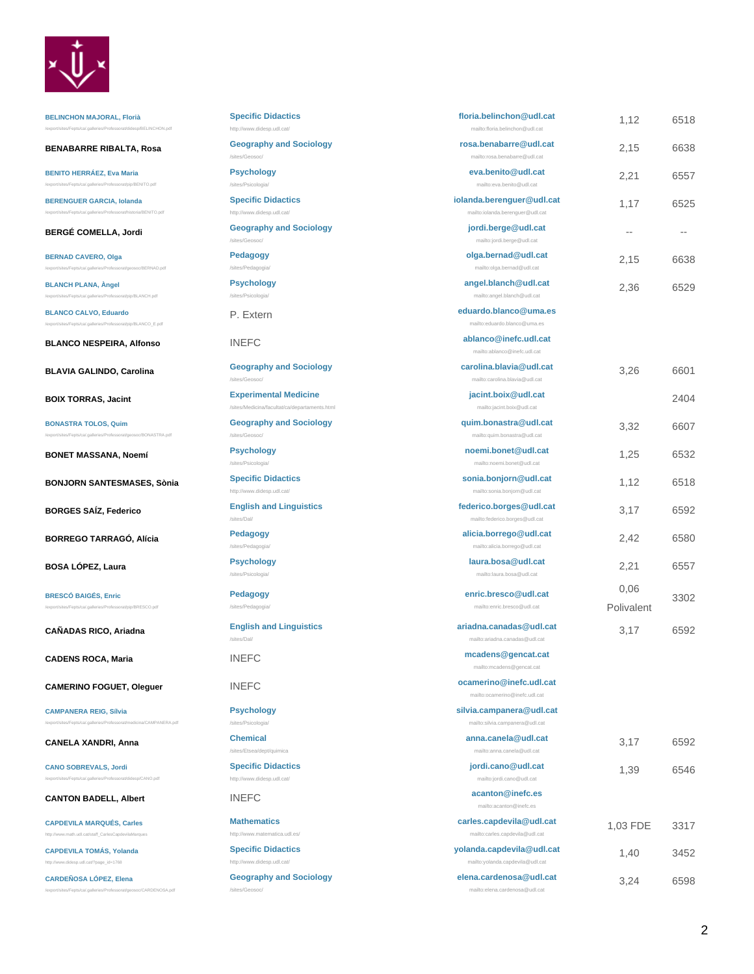

**BELINCHON MAJORAL, Florià** /export/sites/Fepts/ca/.galleries/Professorat/didesp/BELINCHON.pdf

**BENABARRE RIBALTA, Rosa CENABARRE RIBALTA**, **Rosa** 

**BENITO HERRÁEZ, Eva Maria** /export/sites/Fepts/ca/.galleries/Professorat/pip/BENITO.pdf

**BERENGUER GARCIA, Iolanda** es/Fepts/ca/.galleries/Professorat/historia/BENITO.pdf

**BERGÉ COMELLA, Jordi Geography Geography Geography** 

**BERNAD CAVERO, Olga** /export/sites/Fepts/ca/.galleries/Professorat/geosoc/BERNAD.pdf

**BLANCH PLANA, Àngel** s/Fepts/ca/.galleries/Professorat/pip/BLANCH.pdf

**BLANCO CALVO, Eduardo** /export/sites/Fepts/ca/.galleries/Professorat/pip/BLANCO\_E.pdf

**BLANCO NESPEIRA, Alfonso INEFC.** 

**BLAVIA GALINDO, Carolina Geography Geography Geography and Sociology** 

**BOIX TORRAS, Jacint Experim** 

**BONASTRA TOLOS, Quim**

**BONET MASSANA, Noemí Psychology**

**BONJORN SANTESMASES, Sònia Specific** 

c/BONASTRA.pdf

**BORGES SAÍZ, Federico English** 

**BORREGO TARRAGÓ, Alícia Pedagogy** 

**BOSA LÓPEZ, Laura Psychology** 

**BRESCÓ BAIGÉS, Enric** .<br>pip/BRESCO.pdf

**CAÑADAS RICO, Ariadna English** 

**CADENS ROCA, Maria INEFC** 

**CAMERINO FOGUET, Oleguer INEFC.** 

/export/sites/Fepts/ca/.galleries/Professorat/medicina/CAMPANERA.pdf

**CAMPANERA REIG, Sílvia**

**CANELA XANDRI, Anna CANELA XANDRI, Anna** 

**CANO SOBREVALS, Jordi** /export/sites/Fepts/ca/.galleries/Professorat/didesp/CANO.pdf

**CANTON BADELL, Albert INEFC.** 

**[CAPDEVILA MARQUÉS, Carles](http://www.math.udl.cat/staff_CarlesCapdevilaMarques)** [http://www.math.udl.cat/staff\\_CarlesCapdevilaMarques](http://www.math.udl.cat/staff_CarlesCapdevilaMarques)

**[CAPDEVILA TOMÁS, Yolanda](http://www.didesp.udl.cat/?page_id=1768)** /www.didesp.udl.cat/?page\_id=1768

**CARDEÑOSA LÓPEZ, Elena** oc/CARDENC

| <b>Specific Didactics</b>                                                     | floria.belinchon@udl.cat<br>mailto:floria.belinchon@udl.cat   | 1,12               | 6518 |
|-------------------------------------------------------------------------------|---------------------------------------------------------------|--------------------|------|
| http://www.didesp.udl.cat/<br><b>Geography and Sociology</b>                  | rosa.benabarre@udl.cat                                        |                    |      |
| /sites/Geosoc/                                                                | mailto:rosa.benabarre@udl.cat                                 | 2,15               | 6638 |
| <b>Psychology</b><br>/sites/Psicologia/                                       | eva.benito@udl.cat<br>mailto:eva.benito@udl.cat               | 2,21               | 6557 |
| <b>Specific Didactics</b><br>http://www.didesp.udl.cat/                       | iolanda.berenguer@udl.cat<br>mailto:iolanda.berenguer@udl.cat | 1,17               | 6525 |
| <b>Geography and Sociology</b><br>/sites/Geosoc/                              | jordi.berge@udl.cat<br>mailto:jordi.berge@udl.cat             | $-$                |      |
| <b>Pedagogy</b><br>/sites/Pedagogia/                                          | olga.bernad@udl.cat<br>mailto:olga.bernad@udl.cat             | 2.15               | 6638 |
| <b>Psychology</b><br>/sites/Psicologia/                                       | angel.blanch@udl.cat<br>mailto:angel.blanch@udl.cat           | 2,36               | 6529 |
| P. Extern                                                                     | eduardo.blanco@uma.es<br>mailto:eduardo.blanco@uma.es         |                    |      |
| <b>INEFC</b>                                                                  | ablanco@inefc.udl.cat<br>mailto:ablanco@inefc.udl.cat         |                    |      |
| <b>Geography and Sociology</b><br>/sites/Geosoc/                              | carolina.blavia@udl.cat<br>mailto:carolina.blavia@udl.cat     | 3,26               | 6601 |
| <b>Experimental Medicine</b><br>/sites/Medicina/facultat/ca/departaments.html | jacint.boix@udl.cat<br>mailto:jacint.boix@udl.cat             |                    | 2404 |
| <b>Geography and Sociology</b><br>/sites/Geosoc/                              | quim.bonastra@udl.cat<br>mailto:quim.bonastra@udl.cat         | 3,32               | 6607 |
| <b>Psychology</b><br>/sites/Psicologia/                                       | noemi.bonet@udl.cat<br>mailto:noemi.bonet@udl.cat             | 1,25               | 6532 |
| <b>Specific Didactics</b><br>http://www.didesp.udl.cat/                       | sonia.bonjorn@udl.cat<br>mailto:sonia.bonjorn@udl.cat         | 1,12               | 6518 |
| <b>English and Linguistics</b><br>/sites/Dal/                                 | federico.borges@udl.cat<br>mailto:federico.borges@udl.cat     | 3,17               | 6592 |
| <b>Pedagogy</b><br>/sites/Pedagogia/                                          | alicia.borrego@udl.cat<br>mailto:alicia.borrego@udl.cat       | 2,42               | 6580 |
| <b>Psychology</b><br>/sites/Psicologia/                                       | laura.bosa@udl.cat<br>mailto:laura.bosa@udl.cat               | 2,21               | 6557 |
| Pedagogy<br>/sites/Pedagogia/                                                 | enric.bresco@udl.cat<br>mailto:enric.bresco@udl.cat           | 0,06<br>Polivalent | 3302 |
| <b>English and Linguistics</b><br>/sites/Dal/                                 | ariadna.canadas@udl.cat<br>mailto:ariadna.canadas@udl.cat     | 3,17               | 6592 |
| <b>INEFC</b>                                                                  | mcadens@gencat.cat<br>mailto:mcadens@gencat.cat               |                    |      |
| <b>INEFC</b>                                                                  | ocamerino@inefc.udl.cat<br>mailto:ocamerino@inefc.udl.cat     |                    |      |
| <b>Psychology</b><br>/sites/Psicologia/                                       | silvia.campanera@udl.cat<br>mailto:silvia.campanera@udl.cat   |                    |      |
| <b>Chemical</b><br>/sites/Etsea/dept/quimica                                  | anna.canela@udl.cat<br>mailto:anna.canela@udl.cat             | 3,17               | 6592 |
| <b>Specific Didactics</b><br>http://www.didesp.udl.cat/                       | jordi.cano@udl.cat<br>mailto:jordi.cano@udl.cat               | 1,39               | 6546 |
| <b>INEFC</b>                                                                  | acanton@inefc.es<br>mailto:acanton@inefc.es                   |                    |      |
| <b>Mathematics</b>                                                            | carles.capdevila@udl.cat                                      |                    |      |
| http://www.matematica.udl.es/                                                 | mailto:carles.capdevila@udl.cat                               | 1,03 FDE           | 3317 |

**[Specific Didactics](http://www.didesp.udl.cat/)** <http://www.didesp.udl.cat/>

**Geography and Sociology**

/sites/Geosoc/

mailto:elena.cardenosa@udl.cat

**yolanda.capdevila@udl.cat** mailto:yolanda.capdevila@udl.cat

**elena.cardenosa@udl.cat**

1,40 3452

3,24 6598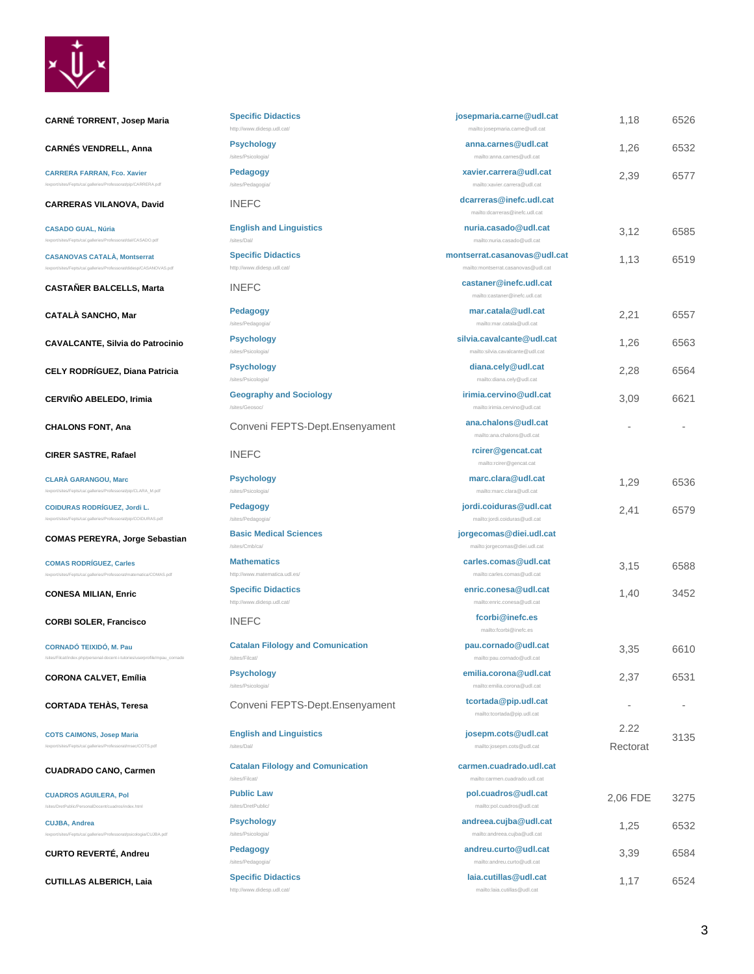

**CARNÉ TORRENT, Josep Maria Biography** Specific

**CARNÉS VENDRELL, Anna Psychology**

**CARRERA FARRAN, Fco. Xavier** /export/sites/Fepts/ca/.galleries/Professorat/pip/CARRERA.pdf

**CARRERAS VILANOVA, David MINEFC.** 

**CASADO GUAL, Núria**

**CASANOVAS CATALÀ, Montserrat** /export/sites/Fepts/ca/.galleries/Professorat/didesp/CASANOVAS.pdf

/export/sites/Fepts/ca/.galleries/Professorat/dal/CASADO.pdf

**CASTAÑER BALCELLS, Marta INEFC.** 

**CATALÀ SANCHO, Mar Pedagogy**

**CAVALCANTE, Silvia do Patrocinio Psychology**

**CELY RODRÍGUEZ, Diana Patricia** Psychology

**CERVIÑO ABELEDO, Irimia Geography Geography** 

**CHALONS FONT, Ana.**<br> **Convert** 

**CIRER SASTRE, Rafael <b>Replace** INEFC

**CLARÀ GARANGOU, Marc** /export/sites/Fepts/ca/.galleries/Professorat/pip/CLARA\_M.pdf

**COIDURAS RODRÍGUEZ, Jordi L.** /export/sites/Fepts/ca/.galleries/Professorat/pip/COIDURAS.pdf

**COMAS PEREYRA, Jorge Sebastian** Basic Medical Sciences

**COMAS RODRÍGUEZ, Carles** ica/COMAS.pdf

**CONESA MILIAN, Enric Specific** 

**CORBI SOLER, Francisco INEFC.** 

**CORNADÓ TEIXIDÓ, M. Pau**

**CORONA CALVET, Emília** Psychology

/sites/Filcat/index.php/personal-docent-i-tutories/userprofile/mpau\_cornado

**CORTADA TEHÀS, Teresa CONVERTS-DEPTS-DEPTS-DEPTS-DEPT.** 

**COTS CAIMONS, Josep Maria** /export/sites/Fepts/ca/.galleries/Professorat/msec/COTS.pdf

**CUADRADO CANO, Carmen Catalan** 

**CUADROS AGUILERA, Pol** /sites/DretPublic/PersonalDocent/cuadros/index.html

**CUJBA, Andrea**

**CURTO REVERTÉ, Andreu Pedagogy**

/export/sites/Fepts/ca/.galleries/Professorat/psicologia/CUJBA.pdf

**CUTILLAS ALBERICH, Laia [Specific Didactics](http://www.didesp.udl.cat/)**

| <b>Specific Didactics</b>                                  | josepmaria.carne@udl.cat                                            | 1,18             | 6526 |
|------------------------------------------------------------|---------------------------------------------------------------------|------------------|------|
| http://www.didesp.udl.cat/<br><b>Psychology</b>            | mailto:josepmaria.carne@udl.cat<br>anna.carnes@udl.cat              |                  |      |
| /sites/Psicologia/                                         | mailto:anna.carnes@udl.cat                                          | 1,26             | 6532 |
| <b>Pedagogy</b><br>/sites/Pedagogia/                       | xavier.carrera@udl.cat<br>mailto:xavier.carrera@udl.cat             | 2,39             | 6577 |
| <b>INEFC</b>                                               | dcarreras@inefc.udl.cat<br>mailto:dcarreras@inefc.udl.cat           |                  |      |
| <b>English and Linguistics</b><br>/sites/Dal/              | nuria.casado@udl.cat<br>mailto:nuria.casado@udl.cat                 | 3,12             | 6585 |
| <b>Specific Didactics</b><br>http://www.didesp.udl.cat/    | montserrat.casanovas@udl.cat<br>mailto:montserrat.casanovas@udl.cat | 1,13             | 6519 |
| <b>INEFC</b>                                               | castaner@inefc.udl.cat<br>mailto:castaner@inefc.udl.cat             |                  |      |
| <b>Pedagogy</b><br>/sites/Pedagogia/                       | mar.catala@udl.cat<br>mailto:mar.catala@udl.cat                     | 2,21             | 6557 |
| <b>Psychology</b><br>/sites/Psicologia/                    | silvia.cavalcante@udl.cat<br>mailto:silvia.cavalcante@udl.cat       | 1,26             | 6563 |
| <b>Psychology</b><br>/sites/Psicologia/                    | diana.cely@udl.cat<br>mailto:diana.cely@udl.cat                     | 2,28             | 6564 |
| <b>Geography and Sociology</b><br>/sites/Geosoc/           | irimia.cervino@udl.cat<br>mailto:irimia.cervino@udl.cat             | 3,09             | 6621 |
| Conveni FEPTS-Dept. Ensenyament                            | ana.chalons@udl.cat<br>mailto:ana.chalons@udl.cat                   |                  |      |
| <b>INEFC</b>                                               | rcirer@gencat.cat<br>mailto:rcirer@gencat.cat                       |                  |      |
| <b>Psychology</b><br>/sites/Psicologia/                    | marc.clara@udl.cat<br>mailto:marc.clara@udl.cat                     | 1,29             | 6536 |
| Pedagogy<br>/sites/Pedagogia/                              | jordi.coiduras@udl.cat<br>mailto:jordi.coiduras@udl.cat             | 2,41             | 6579 |
| <b>Basic Medical Sciences</b>                              | jorgecomas@diei.udl.cat                                             |                  |      |
| /sites/Cmb/ca/                                             | mailto:jorgecomas@diei.udl.cat                                      |                  |      |
| <b>Mathematics</b><br>http://www.matematica.udl.es/        | carles.comas@udl.cat<br>mailto:carles.comas@udl.cat                 | 3,15             | 6588 |
| <b>Specific Didactics</b><br>http://www.didesp.udl.cat/    | enric.conesa@udl.cat<br>mailto:enric.conesa@udl.cat                 | 1,40             | 3452 |
| <b>INEFC</b>                                               | fcorbi@inefc.es<br>mailto:fcorbi@inefc.es                           |                  |      |
| <b>Catalan Filology and Comunication</b><br>/sites/Filcat/ | pau.cornado@udl.cat<br>mailto:pau.cornado@udl.cat                   | 3,35             | 6610 |
| <b>Psychology</b><br>/sites/Psicologia/                    | emilia.corona@udl.cat<br>mailto:emilia.corona@udl.cat               | 2,37             | 6531 |
| Conveni FEPTS-Dept. Ensenyament                            | tcortada@pip.udl.cat<br>mailto:tcortada@pip.udl.cat                 | $\overline{a}$   |      |
| <b>English and Linguistics</b><br>/sites/Dal/              | josepm.cots@udl.cat<br>mailto:josepm.cots@udl.cat                   | 2.22<br>Rectorat | 3135 |
| <b>Catalan Filology and Comunication</b><br>/sites/Filcat/ | carmen.cuadrado.udl.cat<br>mailto:carmen.cuadrado.udl.cat           |                  |      |

**pol.cuadros@udl.cat** mailto:pol.cuadros@udl.cat

**andreea.cujba@udl.cat** mailto:andreea.cujba@udl.cat

**andreu.curto@udl.cat** mailto:andreu.curto@udl.cat

**laia.cutillas@udl.cat** mailto:laia.cutillas@udl.cat

**Public Law** /sites/DretPublic/

**Psychology** /sites/Psicologia/

/sites/Pedagogia/

<http://www.didesp.udl.cat/>

3

2,06 FDE 3275

1,25 6532

3,39 6584

1,17 6524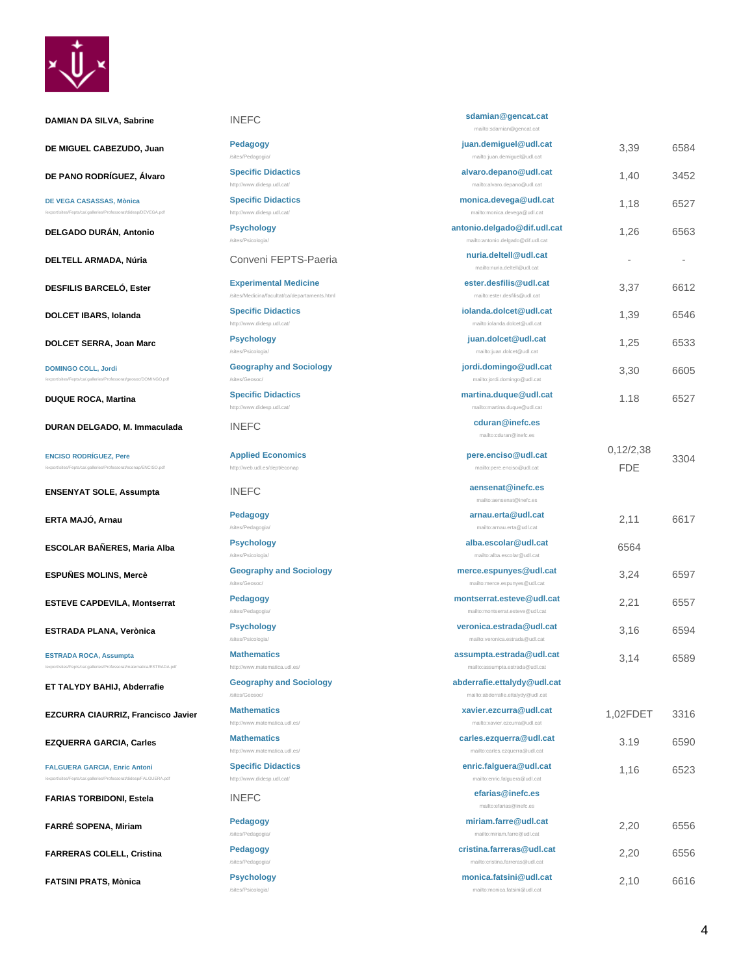

| <b>DAMIAN DA SILVA, Sabrine</b>                                                                           | <b>INEFC</b>                                                                  | sdamian@gencat.cat<br>mailto:sdamian@gencat.cat                   |                         |      |
|-----------------------------------------------------------------------------------------------------------|-------------------------------------------------------------------------------|-------------------------------------------------------------------|-------------------------|------|
| DE MIGUEL CABEZUDO, Juan                                                                                  | <b>Pedagogy</b><br>/sites/Pedagogia/                                          | juan.demiguel@udl.cat<br>mailto:juan.demiguel@udl.cat             | 3,39                    | 6584 |
| DE PANO RODRÍGUEZ, Álvaro                                                                                 | <b>Specific Didactics</b><br>http://www.didesp.udl.cat/                       | alvaro.depano@udl.cat<br>mailto:alvaro.depano@udl.cat             | 1,40                    | 3452 |
| DE VEGA CASASSAS, Mònica<br>/export/sites/Fepts/ca/.galleries/Professorat/didesp/DEVEGA.pdf               | <b>Specific Didactics</b><br>http://www.didesp.udl.cat/                       | monica.devega@udl.cat<br>mailto:monica.devega@udl.cat             | 1,18                    | 6527 |
| DELGADO DURÁN, Antonio                                                                                    | <b>Psychology</b><br>/sites/Psicologia/                                       | antonio.delgado@dif.udl.cat<br>mailto:antonio.delgado@dif.udl.cat | 1,26                    | 6563 |
| DELTELL ARMADA, Núria                                                                                     | Conveni FEPTS-Paeria                                                          | nuria.deltell@udl.cat<br>mailto:nuria.deltell@udl.cat             |                         |      |
| <b>DESFILIS BARCELÓ, Ester</b>                                                                            | <b>Experimental Medicine</b><br>/sites/Medicina/facultat/ca/departaments.html | ester.desfilis@udl.cat<br>mailto:ester.desfilis@udl.cat           | 3,37                    | 6612 |
| <b>DOLCET IBARS, Iolanda</b>                                                                              | <b>Specific Didactics</b><br>http://www.didesp.udl.cat/                       | iolanda.dolcet@udl.cat<br>mailto:iolanda.dolcet@udl.cat           | 1,39                    | 6546 |
| DOLCET SERRA, Joan Marc                                                                                   | <b>Psychology</b><br>/sites/Psicologia/                                       | juan.dolcet@udl.cat<br>mailto:juan.dolcet@udl.cat                 | 1,25                    | 6533 |
| <b>DOMINGO COLL, Jordi</b><br>/export/sites/Fepts/ca/.galleries/Professorat/geosoc/DOMINGO.pdf            | <b>Geography and Sociology</b><br>/sites/Geosoc/                              | jordi.domingo@udl.cat<br>mailto:jordi.domingo@udl.cat             | 3,30                    | 6605 |
| <b>DUQUE ROCA, Martina</b>                                                                                | <b>Specific Didactics</b><br>http://www.didesp.udl.cat/                       | martina.duque@udl.cat<br>mailto:martina.duque@udl.cat             | 1.18                    | 6527 |
| DURAN DELGADO, M. Immaculada                                                                              | <b>INEFC</b>                                                                  | cduran@inefc.es<br>mailto:cduran@inefc.es                         |                         |      |
| <b>ENCISO RODRÍGUEZ, Pere</b><br>/export/sites/Fepts/ca/.galleries/Professorat/econap/ENCISO.pdf          | <b>Applied Economics</b><br>http://web.udl.es/dept/econap                     | pere.enciso@udl.cat<br>mailto:pere.enciso@udl.cat                 | 0.12/2.38<br><b>FDE</b> | 3304 |
| <b>ENSENYAT SOLE, Assumpta</b>                                                                            | <b>INEFC</b>                                                                  | aensenat@inefc.es<br>mailto:aensenat@inefc.es                     |                         |      |
| ERTA MAJÓ, Arnau                                                                                          | Pedagogy<br>/sites/Pedagogia/                                                 | arnau.erta@udl.cat<br>mailto:arnau.erta@udl.cat                   | 2,11                    | 6617 |
| ESCOLAR BAÑERES, Maria Alba                                                                               | <b>Psychology</b><br>/sites/Psicologia/                                       | alba.escolar@udl.cat<br>mailto:alba.escolar@udl.cat               | 6564                    |      |
| <b>ESPUÑES MOLINS, Mercè</b>                                                                              | <b>Geography and Sociology</b><br>/sites/Geosoc/                              | merce.espunyes@udl.cat<br>mailto:merce.espunyes@udl.cat           | 3,24                    | 6597 |
| <b>ESTEVE CAPDEVILA, Montserrat</b>                                                                       | <b>Pedagogy</b><br>/sites/Pedagogia/                                          | montserrat.esteve@udl.cat<br>mailto:montserrat.esteve@udl.cat     | 2,21                    | 6557 |
| ESTRADA PLANA, Verònica                                                                                   | <b>Psychology</b><br>/sites/Psicologia/                                       | veronica.estrada@udl.cat<br>mailto:veronica.estrada@udl.cat       | 3,16                    | 6594 |
| <b>ESTRADA ROCA, Assumpta</b><br>/export/sites/Fepts/ca/.galleries/Professorat/matematica/ESTRADA.pdf     | <b>Mathematics</b><br>http://www.matematica.udl.es/                           | assumpta.estrada@udl.cat<br>mailto:assumpta.estrada@udl.cat       | 3.14                    | 6589 |
| ET TALYDY BAHIJ, Abderrafie                                                                               | <b>Geography and Sociology</b><br>/sites/Geosoc/                              | abderrafie.ettalydy@udl.cat<br>mailto:abderrafie.ettalydy@udl.cat |                         |      |
| <b>EZCURRA CIAURRIZ, Francisco Javier</b>                                                                 | <b>Mathematics</b><br>http://www.matematica.udl.es/                           | xavier.ezcurra@udl.cat<br>mailto:xavier.ezcurra@udl.cat           | 1,02FDET                | 3316 |
| <b>EZQUERRA GARCIA, Carles</b>                                                                            | <b>Mathematics</b><br>http://www.matematica.udl.es/                           | carles.ezquerra@udl.cat<br>mailto:carles.ezquerra@udl.cat         | 3.19                    | 6590 |
| <b>FALGUERA GARCIA, Enric Antoni</b><br>/export/sites/Fepts/ca/.galleries/Professorat/didesp/FALGUERA.pdf | <b>Specific Didactics</b><br>http://www.didesp.udl.cat/                       | enric.falguera@udl.cat<br>mailto:enric.falguera@udl.cat           | 1,16                    | 6523 |
| <b>FARIAS TORBIDONI, Estela</b>                                                                           | <b>INEFC</b>                                                                  | efarias@inefc.es<br>mailto:efarias@inefc.es                       |                         |      |
| FARRÉ SOPENA, Miriam                                                                                      | <b>Pedagogy</b><br>/sites/Pedagogia/                                          | miriam.farre@udl.cat<br>mailto:miriam.farre@udl.cat               | 2,20                    | 6556 |
| <b>FARRERAS COLELL, Cristina</b>                                                                          | <b>Pedagogy</b><br>/sites/Pedagogia/                                          | cristina.farreras@udl.cat<br>mailto:cristina.farreras@udl.cat     | 2,20                    | 6556 |
| <b>FATSINI PRATS, Mònica</b>                                                                              | <b>Psychology</b><br>/sites/Psicologia/                                       | monica.fatsini@udl.cat<br>mailto:monica.fatsini@udl.cat           | 2,10                    | 6616 |

#### 4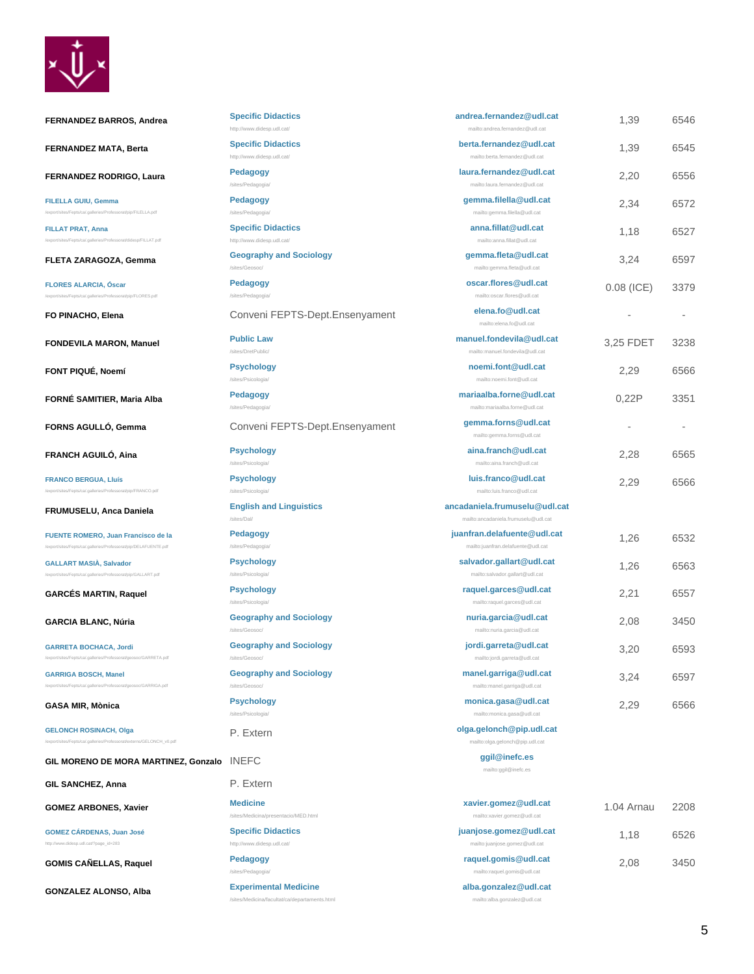

| <b>FERNANDEZ BARROS, Andrea</b>                                                                         | <b>Specific Didactics</b><br>http://www.didesp.udl.cat/                       | andrea.fernandez@udl.cat<br>mailto:andrea.fernandez@udl.cat           | 1,39         | 6546 |
|---------------------------------------------------------------------------------------------------------|-------------------------------------------------------------------------------|-----------------------------------------------------------------------|--------------|------|
| <b>FERNANDEZ MATA, Berta</b>                                                                            | <b>Specific Didactics</b><br>http://www.didesp.udl.cat/                       | berta.fernandez@udl.cat<br>mailto:berta.fernandez@udl.cat             | 1,39         | 6545 |
| FERNANDEZ RODRIGO, Laura                                                                                | <b>Pedagogy</b><br>/sites/Pedagogia/                                          | laura.fernandez@udl.cat<br>mailto:laura.fernandez@udl.cat             | 2,20         | 6556 |
| FILELLA GUIU, Gemma<br>/export/sites/Fepts/ca/.galleries/Professorat/pip/FILELLA.pdf                    | <b>Pedagogy</b><br>/sites/Pedagogia/                                          | gemma.filella@udl.cat<br>mailto:gemma.filella@udl.cat                 | 2,34         | 6572 |
| <b>FILLAT PRAT, Anna</b><br>/export/sites/Fepts/ca/.galleries/Professorat/didesp/FILLAT.pdf             | <b>Specific Didactics</b><br>http://www.didesp.udl.cat/                       | anna.fillat@udl.cat<br>mailto:anna.fillat@udl.cat                     | 1,18         | 6527 |
| FLETA ZARAGOZA, Gemma                                                                                   | <b>Geography and Sociology</b><br>/sites/Geosoc/                              | gemma.fleta@udl.cat<br>mailto:gemma.fleta@udl.cat                     | 3,24         | 6597 |
| <b>FLORES ALARCIA, Oscar</b><br>/export/sites/Fepts/ca/.galleries/Professorat/pip/FLORES.pdf            | Pedagogy<br>/sites/Pedagogia/                                                 | oscar.flores@udl.cat<br>mailto:oscar.flores@udl.cat                   | $0.08$ (ICE) | 3379 |
| FO PINACHO, Elena                                                                                       | Conveni FEPTS-Dept.Ensenyament                                                | elena.fo@udl.cat<br>mailto:elena.fo@udl.cat                           |              |      |
| <b>FONDEVILA MARON, Manuel</b>                                                                          | <b>Public Law</b><br>/sites/DretPublic/                                       | manuel.fondevila@udl.cat<br>mailto:manuel.fondevila@udl.cat           | 3,25 FDET    | 3238 |
| FONT PIQUÉ, Noemí                                                                                       | <b>Psychology</b><br>/sites/Psicologia/                                       | noemi.font@udl.cat<br>mailto:noemi.font@udl.cat                       | 2,29         | 6566 |
| FORNÉ SAMITIER, Maria Alba                                                                              | <b>Pedagogy</b><br>/sites/Pedagogia/                                          | mariaalba.forne@udl.cat<br>mailto:mariaalba.forne@udl.cat             | 0,22P        | 3351 |
| FORNS AGULLO, Gemma                                                                                     | Conveni FEPTS-Dept.Ensenyament                                                | gemma.forns@udl.cat<br>mailto:gemma.forns@udl.cat                     |              |      |
| <b>FRANCH AGUILO, Aina</b>                                                                              | <b>Psychology</b><br>/sites/Psicologia/                                       | aina.franch@udl.cat<br>mailto:aina.franch@udl.cat                     | 2,28         | 6565 |
| <b>FRANCO BERGUA, Lluís</b><br>/export/sites/Fepts/ca/.galleries/Professorat/pip/FRANCO.pdf             | <b>Psychology</b><br>/sites/Psicologia/                                       | luis.franco@udl.cat<br>mailto:luis.franco@udl.cat                     | 2,29         | 6566 |
| FRUMUSELU, Anca Daniela                                                                                 | <b>English and Linguistics</b><br>/sites/Dal/                                 | ancadaniela.frumuselu@udl.cat<br>mailto:ancadaniela.frumuselu@udl.cat |              |      |
| FUENTE ROMERO, Juan Francisco de la<br>/export/sites/Fepts/ca/.galleries/Professorat/pip/DELAFUENTE.pdf | <b>Pedagogy</b><br>/sites/Pedagogia/                                          | juanfran.delafuente@udl.cat<br>mailto:juanfran.delafuente@udl.cat     | 1,26         | 6532 |
| <b>GALLART MASIA, Salvador</b><br>/export/sites/Fepts/ca/.galleries/Professorat/pip/GALLART.pdf         | <b>Psychology</b><br>/sites/Psicologia/                                       | salvador.gallart@udl.cat<br>mailto:salvador.gallart@udl.cat           | 1,26         | 6563 |
| <b>GARCES MARTIN, Raquel</b>                                                                            | <b>Psychology</b><br>/sites/Psicologia/                                       | raquel.garces@udl.cat<br>mailto:raquel.garces@udl.cat                 | 2,21         | 6557 |
| <b>GARCIA BLANC, Núria</b>                                                                              | <b>Geography and Sociology</b><br>/sites/Geosoc/                              | nuria.garcia@udl.cat<br>mailto:nuria.garcia@udl.cat                   | 2,08         | 3450 |
| <b>GARRETA BOCHACA, Jordi</b><br>/export/sites/Fepts/ca/.galleries/Professorat/geosoc/GARRETA.pdf       | <b>Geography and Sociology</b><br>/sites/Geosoc/                              | jordi.garreta@udl.cat<br>mailto:jordi.garreta@udl.cat                 | 3,20         | 6593 |
| <b>GARRIGA BOSCH, Manel</b><br>/export/sites/Fepts/ca/.galleries/Professorat/geosoc/GARRIGA.pdf         | <b>Geography and Sociology</b><br>/sites/Geosoc/                              | manel.garriga@udl.cat<br>mailto:manel.garriga@udl.cat                 | 3,24         | 6597 |
| GASA MIR, Mònica                                                                                        | <b>Psychology</b><br>/sites/Psicologia/                                       | monica.gasa@udl.cat<br>mailto:monica.gasa@udl.cat                     | 2,29         | 6566 |
| <b>GELONCH ROSINACH, Olga</b><br>/export/sites/Fepts/ca/.galleries/Professorat/externs/GELONCH_v0.pdf   | P. Extern                                                                     | olga.gelonch@pip.udl.cat<br>mailto:olga.gelonch@pip.udl.cat           |              |      |
| GIL MORENO DE MORA MARTINEZ, Gonzalo                                                                    | <b>INEFC</b>                                                                  | ggil@inefc.es<br>mailto:ggil@inefc.es                                 |              |      |
| GIL SANCHEZ, Anna                                                                                       | P. Extern                                                                     |                                                                       |              |      |
| <b>GOMEZ ARBONES, Xavier</b>                                                                            | <b>Medicine</b><br>/sites/Medicina/presentacio/MED.html                       | xavier.gomez@udl.cat<br>mailto:xavier.gomez@udl.cat                   | 1.04 Arnau   | 2208 |
| <b>GOMEZ CÁRDENAS, Juan José</b><br>http://www.didesp.udl.cat/?page_id=283                              | <b>Specific Didactics</b><br>http://www.didesp.udl.cat/                       | juanjose.gomez@udl.cat<br>mailto:juanjose.gomez@udl.cat               | 1,18         | 6526 |
| <b>GOMIS CANELLAS, Raquel</b>                                                                           | <b>Pedagogy</b><br>/sites/Pedagogia/                                          | raquel.gomis@udl.cat<br>mailto:raquel.gomis@udl.cat                   | 2,08         | 3450 |
| GONZALEZ ALONSO, Alba                                                                                   | <b>Experimental Medicine</b><br>/sites/Medicina/facultat/ca/departaments.html | alba.gonzalez@udl.cat<br>mailto:alba.gonzalez@udl.cat                 |              |      |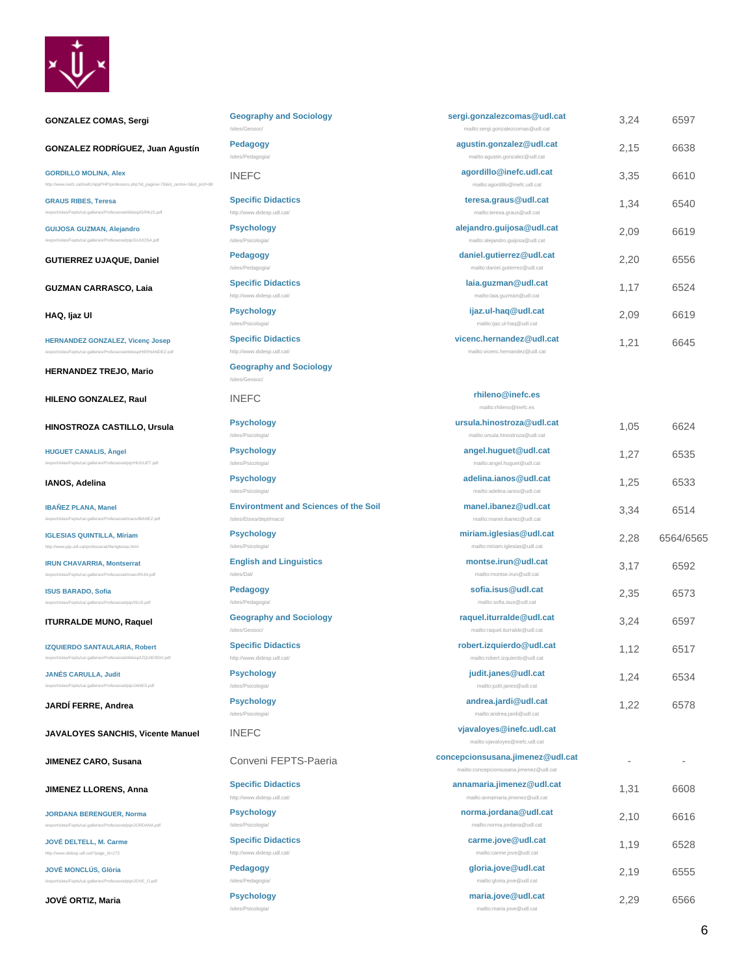

# **GONZALEZ COMAS, Sergi Geography and Sociology**

**GONZALEZ RODRÍGUEZ, Juan Agustín Pedagogy**

ca/.galleries/Professorat/pip/GUIJOSA.pdf

[http://www.inefc.cat/inefc/AppPHP/professors.php?id\\_pagina=79&id\\_centre=3&id\\_prof=88](http://www.inefc.cat/inefc/AppPHP/professors.php?id_pagina=79&id_centre=3&id_prof=88)

**[GORDILLO MOLINA, Alex](http://www.inefc.cat/inefc/AppPHP/professors.php?id_pagina=79&id_centre=3&id_prof=88)**

**GRAUS RIBES, Teresa** lidesp/GRAUS.pdf

**GUIJOSA GUZMAN, Alejandro**

**GUTIERREZ UJAQUE, Daniel Pedagogy**

**GUZMAN CARRASCO, Laia Specific Dida** 

**HAQ, Ijaz Ul Psychology**

**HERNANDEZ GONZALEZ, Vicenç Josep** /export/sites/Fepts/ca/.galleries/Professorat/didesp/HERNANDEZ.pdf

**HERNANDEZ TREJO, Mario Geography and Sociology** 

**HILENO GONZALEZ, Raul Reference in the filter of the filter of the filter of the filter of the filter of the filter of the filter of the filter of the filter of the filter of the filter of the filter of the filter of th** 

**HINOSTROZA CASTILLO, Ursula Psychology**

**HUGUET CANALIS, Àngel** /export/sites/Fepts/ca/.galleries/Professorat/pip/HUGUET.pdf

**IANOS, Adelina Psychology**

**IBAÑEZ PLANA, Manel** /IBANEZ.pdf

**[IGLESIAS QUINTILLA, Míriam](http://www.pip.udl.cat/professorat/the/iglesias.html)** <http://www.pip.udl.cat/professorat/the/iglesias.html>

**IRUN CHAVARRIA, Montserrat** /export/sites/Fepts/ca/.galleries/Professorat/msec/IRUN.pdf

**ISUS BARADO, Sofia** /export/sites/Fepts/ca/.galleries/Professorat/pip/ISUS.pdf

**IZQUIERDO SANTAULARIA, Robert** /export/sites/Fepts/ca/.galleries/Professorat/didesp/IZQUIERDO.pdf

**JANÉS CARULLA, Judit** /export/sites/Fepts/ca/.galleries/Professorat/pip/JANES.pdf

**JARDÍ FERRE, Andrea Psychology**

**JAVALOYES SANCHIS, Vicente Manuel** INEFC **vjavaloyes@inefc.udl.cat**

**JIMENEZ LLORENS, Anna [Specific Didactics](http://www.didesp.udl.cat/)**

**JORDANA BERENGUER, Norma** /export/sites/Fepts/ca/.galleries/Professorat/pip/JORDANA.pdf

**[JOVÉ DELTELL, M. Carme](http://www.didesp.udl.cat/?page_id=272)** //www.didesp.udl.cat/?page\_id=272

**JOVÉ MONCLÚS, Glòria** /export/sites/Fepts/ca/.galleries/Professorat/pip/JOVE\_G.pdf

**JOVÉ ORTIZ, Maria Psychology**

| <b>Geography and Sociology</b>                          | sergi.gonzalezcomas@udl.cat                                   | 3,24 | 6597 |
|---------------------------------------------------------|---------------------------------------------------------------|------|------|
| /sites/Geosoc/                                          | mailto:sergi.gonzalezcomas@udl.cat                            |      |      |
| Pedagogy<br>/sites/Pedagogia/                           | agustin.gonzalez@udl.cat<br>mailto:agustin.gonzalez@udl.cat   | 2.15 | 6638 |
| <b>INEFC</b>                                            | agordillo@inefc.udl.cat<br>mailto:agordillo@inefc.udl.cat     | 3,35 | 6610 |
| <b>Specific Didactics</b>                               | teresa.graus@udl.cat                                          | 1,34 | 6540 |
| http://www.didesp.udl.cat/                              | mailto:teresa.graus@udl.cat                                   |      |      |
| <b>Psychology</b><br>/sites/Psicologia/                 | alejandro.quijosa@udl.cat<br>mailto:alejandro.guijosa@udl.cat | 2,09 | 6619 |
| Pedagogy<br>/sites/Pedagogia/                           | daniel.gutierrez@udl.cat<br>mailto:daniel.gutierrez@udl.cat   | 2,20 | 6556 |
| <b>Specific Didactics</b><br>http://www.didesp.udl.cat/ | laia.guzman@udl.cat<br>mailto:laia.guzman@udl.cat             | 1.17 | 6524 |
| <b>Psychology</b><br>/sites/Psicologia/                 | ijaz.ul-haq@udl.cat<br>mailto:ijaz.ul-haq@udl.cat             | 2.09 | 6619 |
| <b>Specific Didactics</b><br>http://www.didesp.udl.cat/ | vicenc.hernandez@udl.cat<br>mailto:vicenc.hernandez@udl.cat   | 1,21 | 6645 |
| <b>Geography and Sociology</b><br>/sites/Geosoc/        |                                                               |      |      |
| <b>INEFC</b>                                            | rhileno@inefc.es<br>mailto:rhileno@inefc.es                   |      |      |
| <b>Psychology</b><br>/sites/Psicologia/                 | ursula.hinostroza@udl.cat<br>mailto:ursula.hinostroza@udl.cat | 1,05 | 6624 |
| <b>Psychology</b><br>/sites/Psicologia/                 | angel.huguet@udl.cat<br>mailto:angel.huguet@udl.cat           | 1,27 | 6535 |
| <b>Psychology</b><br>/sites/Psicologia/                 | adelina.janos@udl.cat<br>mailto:adelina.ianos@udl.cat         | 1.25 | 6533 |
| <b>Environtment and Sciences of the Soil</b>            | manel.ibanez@udl.cat                                          | 0.01 | CEA  |

mailto:manel.ibanez@udl.cat

**miriam.iglesias@udl.cat** mailto:miriam.iglesias@udl.cat

**montse.irun@udl.cat** mailto:montse.irun@udl.cat

**sofia.isus@udl.cat** mailto:sofia.isus@udl.cat

**raquel.iturralde@udl.cat** mailto:raquel.iturralde@udl.cat

**robert.izquierdo@udl.cat** mailto:robert.izquierdo@udl.cat

**judit.janes@udl.cat** mailto:judit.janes@udl.cat

**andrea.jardi@udl.cat** mailto:andrea.jardi@udl.cat

mailto:vjavaloyes@inefc.udl.cat

mailto:concepcionsusana.jimenez@udl.cat

**annamaria.jimenez@udl.cat** mailto:annamaria.jimenez@udl.cat

**norma.jordana@udl.cat** mailto:norma.jordana@udl.cat

**carme.jove@udl.cat** mailto:carme.jove@udl.cat

**gloria.jove@udl.cat**

**Environtment and Sciences of the Soil** /sites/Etsea/dept/macs/

**Psychology** /sites/Psicologia/

**English and Linguistics** /sites/Dal/

**Pedagogy** /sites/Pedagogia/

/sites/Geosoc/

**ITURRALDE MUNO, Raquel Geography and Sociology**

**[Specific Didactics](http://www.didesp.udl.cat/)** <http://www.didesp.udl.cat/>

**Psychology** /sites/Psicologia/

/sites/Psicologia/

**JIMENEZ CARO, Susana** Conveni FEPTS-Paeria **concepcionsusana.jimenez@udl.cat**

<http://www.didesp.udl.cat/>

**Psychology**

/sites/Psicologia/

**[Specific Didactics](http://www.didesp.udl.cat/)** <http://www.didesp.udl.cat/>

**Pedagogy** /sites/Pedag

/sites/Psicologia/

mailto:gloria.jove@udl.cat **maria.jove@udl.cat** mailto:maria.jove@udl.cat

3,34 6514

2,28 6564/6565

3,17 6592

2,35 6573

3,24 6597

1,12 6517

1,24 6534

1,22 6578

- -

1,31 6608

2,10 6616

1,19 6528

2,19 6555

2,29 6566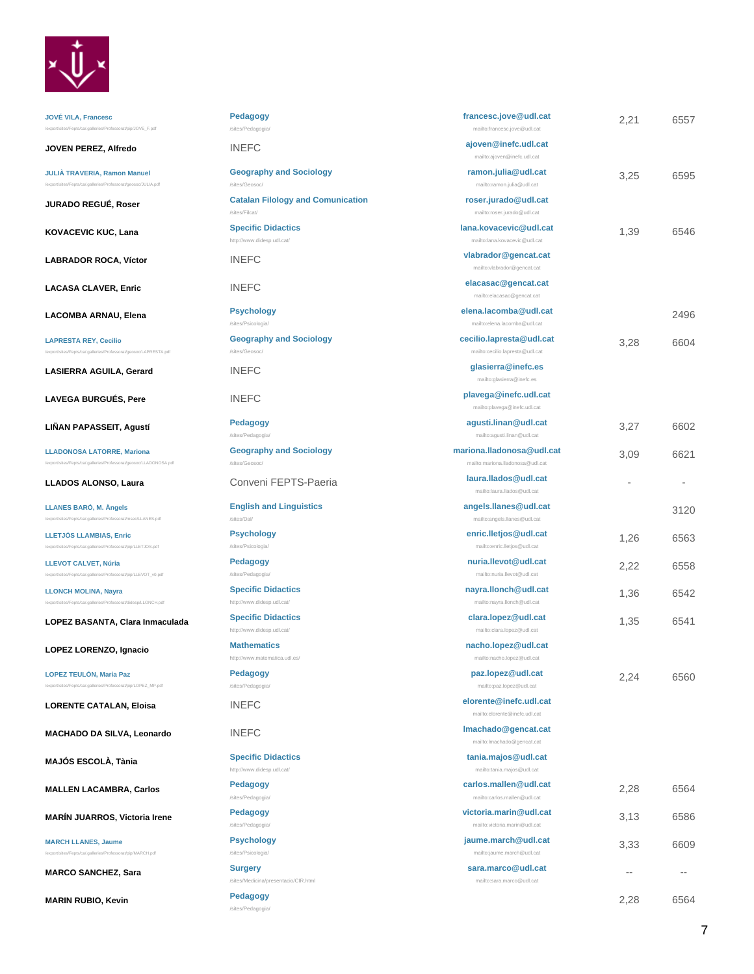

**JOVÉ VILA, Francesc** /export/sites/Fepts/ca/.galleries/Professorat/pip/JOVE\_F.pdf

**JOVEN PEREZ, Alfredo INE** 

**JULIÀ TRAVERIA, Ramon Manuel** /export/sites/Fepts/ca/.galleries/Professorat/geosoc/JULIA.pdf

**JURADO REGUÉ, Roser Cataland Rights** 

**KOVACEVIC KUC, Lana Special Didactic Didactic Didactic Didactic Didactic Didactics** 

LABRADOR ROCA, Víctor **values VINEF** 

LACASA CLAVER, Enric<br>
INEF

**LACOMBA ARNAU, Elena** Psyc

**LAPRESTA REY, Cecilio** /export/sites/Fepts/ca/.galleries/Professorat/geosoc/LAPRESTA.pdf

LASIERRA AGUILA, Gerard **INEI** 

LAVEGA BURGUÉS, Pere **INEF** 

**LIÑAN PAPASSEIT, Agustí Pedagogy**

**LLADONOSA LATORRE, Mariona** /export/sites/Fepts/ca/.galleries/Professorat/geosoc/LLADONOSA.pdf

**LLADOS ALONSO, Laura.** Conveni FEPTS-Page Convention

**LLANES BARÓ, M. Àngels** /export/sites/Fepts/ca/.galleries/Professorat/msec/LLANES.pdf

**LLETJÓS LLAMBIAS, Enric** .<br>pip/LLETJOS.pdf

**LLEVOT CALVET, Núria** /export/sites/Fepts/ca/.galleries/Professorat/pip/LLEVOT\_v0.pdf

**LLONCH MOLINA, Nayra** /export/sites/Fepts/ca/.galleries/Professorat/didesp/LLONCH.pdf

**LOPEZ BASANTA, Clara Inmaculada Spec** 

LOPEZ LORENZO, Ignacio<br> **Math** 

**LOPEZ TEULÓN, Maria Paz** ip/LOPEZ\_MP.pdf

**LORENTE CATALAN, Eloisa INE** 

**MACHADO DA SILVA, Leonardo | INE|** 

**MAJÓS ESCOLÀ, Tània Calculation Didactic Districts** 

**MALLEN LACAMBRA, Carlos Pedagogy**

**MARÍN JUARROS, Victoria Irene Pedagogy**

/export/sites/Fepts/ca/.galleries/Professorat/pip/MARCH.pdf

**MARCH LLANES, Jaume**

**MARCO SANCHEZ, Sara Surgery** 

**MARIN RUBIO, Kevin Pedagogy** 

| <b>Pedagogy</b>                               | francesc.jove@udl.cat                                 | 2,21 | 6557 |
|-----------------------------------------------|-------------------------------------------------------|------|------|
| /sites/Pedagogia/                             | mailto:francesc.jove@udl.cat                          |      |      |
| <b>INEFC</b>                                  | ajoven@inefc.udl.cat<br>mailto:ajoven@inefc.udl.cat   |      |      |
| <b>Geography and Sociology</b>                | ramon.julia@udl.cat                                   |      |      |
| /sites/Geosoc/                                | mailto:ramon.julia@udl.cat                            | 3,25 | 6595 |
| <b>Catalan Filology and Comunication</b>      | roser.jurado@udl.cat                                  |      |      |
| /sites/Filcat/                                | mailto:roser.jurado@udl.cat                           |      |      |
| <b>Specific Didactics</b>                     | lana.kovacevic@udl.cat                                |      |      |
| http://www.didesp.udl.cat/                    | mailto:lana.kovacevic@udl.cat                         | 1,39 | 6546 |
| <b>INEFC</b>                                  | vlabrador@gencat.cat                                  |      |      |
|                                               | mailto:vlabrador@gencat.cat                           |      |      |
| <b>INEFC</b>                                  | elacasac@gencat.cat                                   |      |      |
|                                               | mailto:elacasac@gencat.cat                            |      |      |
| <b>Psychology</b>                             | elena.lacomba@udl.cat                                 |      | 2496 |
| /sites/Psicologia/                            | mailto:elena.lacomba@udl.cat                          |      |      |
| <b>Geography and Sociology</b>                | cecilio.lapresta@udl.cat                              | 3,28 | 6604 |
| /sites/Geosoc/                                | mailto:cecilio.lapresta@udl.cat                       |      |      |
| <b>INFFC</b>                                  | glasierra@inefc.es                                    |      |      |
|                                               | mailto:glasierra@inefc.es                             |      |      |
| <b>INEFC</b>                                  | plavega@inefc.udl.cat                                 |      |      |
|                                               | mailto:plavega@inefc.udl.cat                          |      |      |
| <b>Pedagogy</b>                               | agusti.linan@udl.cat                                  | 3,27 | 6602 |
| /sites/Pedagogia/                             | mailto:agusti.linan@udl.cat                           |      |      |
| <b>Geography and Sociology</b>                | mariona.lladonosa@udl.cat                             | 3,09 | 6621 |
| /sites/Geosoc/                                | mailto:mariona.lladonosa@udl.cat                      |      |      |
| Conveni FEPTS-Paeria                          | laura.llados@udl.cat                                  |      |      |
|                                               | mailto:laura.llados@udl.cat                           |      |      |
| <b>English and Linguistics</b><br>/sites/Dal/ | angels.llanes@udl.cat<br>mailto:angels.llanes@udl.cat |      | 3120 |
|                                               |                                                       |      |      |
| <b>Psychology</b><br>/sites/Psicologia/       | enric.lletjos@udl.cat<br>mailto:enric.lletjos@udl.cat | 1,26 | 6563 |
|                                               | nuria.llevot@udl.cat                                  |      |      |
| <b>Pedagogy</b><br>/sites/Pedagogia/          | mailto:nuria.llevot@udl.cat                           | 2,22 | 6558 |
| <b>Specific Didactics</b>                     | nayra.llonch@udl.cat                                  |      |      |
| http://www.didesp.udl.cat/                    | mailto:nayra.llonch@udl.cat                           | 1,36 | 6542 |
| <b>Specific Didactics</b>                     | clara.lopez@udl.cat                                   |      |      |
| http://www.didesp.udl.cat/                    | mailto:clara.lopez@udl.cat                            | 1,35 | 6541 |
| <b>Mathematics</b>                            | nacho.lopez@udl.cat                                   |      |      |
| http://www.matematica.udl.es/                 | mailto:nacho.lopez@udl.cat                            |      |      |
| <b>Pedagogy</b>                               | paz.lopez@udl.cat                                     |      | 6560 |
| /sites/Pedagogia/                             | mailto:paz.lopez@udl.cat                              | 2,24 |      |
| <b>INEFC</b>                                  | elorente@inefc.udl.cat                                |      |      |
|                                               | mailto:elorente@inefc.udl.cat                         |      |      |
| <b>INEFC</b>                                  | Imachado@gencat.cat                                   |      |      |
|                                               | mailto:Imachado@gencat.cat                            |      |      |
| <b>Specific Didactics</b>                     | tania.majos@udl.cat                                   |      |      |
| http://www.didesp.udl.cat/                    | mailto:tania.majos@udl.cat                            |      |      |
| <b>Pedagogy</b>                               | carlos.mallen@udl.cat                                 | 2,28 | 6564 |
| /sites/Pedagogia/                             | mailto:carlos.mallen@udl.cat                          |      |      |
| <b>Pedagogy</b>                               | victoria.marin@udl.cat                                | 3,13 | 6586 |
| /sites/Pedagogia/                             | mailto:victoria.marin@udl.cat                         |      |      |
| <b>Psychology</b>                             | jaume.march@udl.cat                                   | 3,33 | 6609 |
| /sites/Psicologia/                            | mailto:jaume.march@udl.cat                            |      |      |
| <b>Surgery</b>                                | sara.marco@udl.cat                                    |      |      |
| /sites/Medicina/presentacio/CIR.html          | mailto:sara.marco@udl.cat                             |      |      |

/sites/Pedag

2,28 6564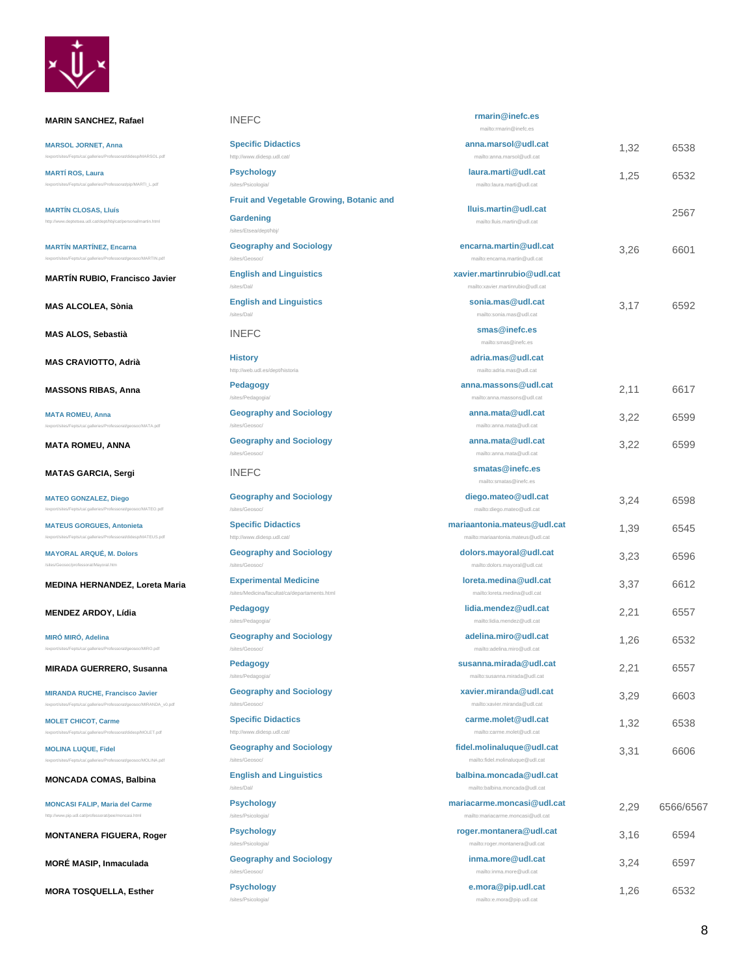

**MARIN SANCHEZ, Rafael** 

MARSOL.pdf

/export/sites/Fepts/ca/.galleries/Professorat/pip/MARTI\_L.pdf

eosoc/MATA.pdf

/MATEO.pdf

/MATEUS.pdf

**MARSOL JORNET, Anna**

**[MARTÍN CLOSAS, Lluís](http://www.deptetsea.udl.cat/dept/hbj/cat/personal/martin.html)** <http://www.deptetsea.udl.cat/dept/hbj/cat/personal/martin.html>

**MARTÍN MARTÍNEZ, Encarna** /export/sites/Fepts/ca/.galleries/Professorat/geosoc/MARTIN.pdf

**MAS ALCOLEA, Sònia** 

**MAS ALOS, Sebastià** 

**MAS CRAVIOTTO, Adrià** 

**MASSONS RIBAS, Anna Pedagogy**

**MATA ROMEU, Anna**

**MATA ROMEU, ANNA** 

**MATAS GARCIA, Sergi** 

**MATEO GONZALEZ, Diego**

**MATEUS GORGUES, Antonieta**

**MAYORAL ARQUÉ, M. Dolors** /sites/Geosoc/professorat/Mayoral.htm

**MENDEZ ARDOY, Lídia Pedagogy**

/export/sites/Fepts/ca/.galleries/Professorat/geosoc/MIRO.pdf

**MIRADA GUERRERO, Susanna Pedagogy**

**MIRANDA RUCHE, Francisco Javier** /export/sites/Fepts/ca/.galleries/Professorat/geosoc/MIRANDA\_v0.pdf

**MONCADA COMAS, Balbina** 

**[MONCASI FALIP, Maria del Carme](http://www.pip.udl.cat/professorat/pee/moncasi.html)** <http://www.pip.udl.cat/professorat/pee/moncasi.html>

**MORÉ MASIP, Inmaculada** 

**MORA TOSQUELLA, Esther** 

**MONTANERA FIGUERA, Roger** 

s/ca/.galleries/Professorat/didesp/MOLET.pdf

/export/sites/Fepts/ca/.galleries/Professorat/geosoc/MOLINA.pdf

**MIRÓ MIRÓ, Adelina**

**MOLET CHICOT, Carme**

**MOLINA LUQUE, Fidel**

**MEDINA HERNANDEZ, Loreta Maria** 

**MARTÍN RUBIO, Francisco Javier** 

**MARTÍ ROS, Laura**

| <b>INEFC</b>                                                                  | rmarin@inefc.es<br>mailto:rmarin@inefc.es                                         |      |           |
|-------------------------------------------------------------------------------|-----------------------------------------------------------------------------------|------|-----------|
| <b>Specific Didactics</b>                                                     | anna.marsol@udl.cat                                                               | 1,32 | 6538      |
| http://www.didesp.udl.cat/<br><b>Psychology</b><br>/sites/Psicologia/         | mailto:anna.marsol@udl.cat<br>laura.marti@udl.cat<br>mailto: laura, marti@udl.cat | 1,25 | 6532      |
| <b>Fruit and Vegetable Growing, Botanic and</b>                               |                                                                                   |      |           |
| Gardening<br>/sites/Etsea/dept/hbj/                                           | Iluis.martin@udl.cat<br>mailto:lluis.martin@udl.cat                               |      | 2567      |
| <b>Geography and Sociology</b><br>/sites/Geosoc/                              | encarna.martin@udl.cat<br>mailto:encama.martin@udl.cat                            | 3,26 | 6601      |
| <b>English and Linguistics</b><br>/sites/Dal/                                 | xavier.martinrubio@udl.cat<br>mailto:xavier.martinrubio@udl.cat                   |      |           |
| <b>English and Linguistics</b><br>/sites/Dal/                                 | sonia.mas@udl.cat<br>mailto:sonia.mas@udl.cat                                     | 3,17 | 6592      |
| <b>INEFC</b>                                                                  | smas@inefc.es<br>mailto:smas@inefc.es                                             |      |           |
| <b>History</b><br>http://web.udl.es/dept/historia                             | adria.mas@udl.cat<br>mailto:adria.mas@udl.cat                                     |      |           |
| <b>Pedagogy</b><br>/sites/Pedagogia/                                          | anna.massons@udl.cat<br>mailto:anna.massons@udl.cat                               | 2,11 | 6617      |
| <b>Geography and Sociology</b><br>/sites/Geosoc/                              | anna.mata@udl.cat<br>mailto: anna, mata@udl.cat                                   | 3,22 | 6599      |
| <b>Geography and Sociology</b><br>/sites/Geosoc/                              | anna.mata@udl.cat<br>mailto:anna.mata@udl.cat                                     | 3,22 | 6599      |
| <b>INEFC</b>                                                                  | smatas@inefc.es<br>mailto:smatas@inefc.es                                         |      |           |
| <b>Geography and Sociology</b><br>/sites/Geosoc/                              | diego.mateo@udl.cat<br>mailto:diego.mateo@udl.cat                                 | 3,24 | 6598      |
| <b>Specific Didactics</b><br>http://www.didesp.udl.cat/                       | mariaantonia.mateus@udl.cat<br>mailto:mariaantonia.mateus@udl.cat                 | 1,39 | 6545      |
| <b>Geography and Sociology</b><br>/sites/Geosoc/                              | dolors.mayoral@udl.cat<br>mailto:dolors.mayoral@udl.cat                           | 3,23 | 6596      |
| <b>Experimental Medicine</b><br>/sites/Medicina/facultat/ca/departaments.html | loreta.medina@udl.cat<br>mailto:loreta.medina@udl.cat                             | 3,37 | 6612      |
| <b>Pedagogy</b><br>/sites/Pedagogia/                                          | lidia.mendez@udl.cat<br>mailto:lidia.mendez@udl.cat                               | 2,21 | 6557      |
| <b>Geography and Sociology</b><br>/sites/Geosoc/                              | adelina.miro@udl.cat<br>mailto:adelina.miro@udl.cat                               | 1,26 | 6532      |
| Pedagogy<br>/sites/Pedagogia/                                                 | susanna.mirada@udl.cat<br>mailto:susanna.mirada@udl.cat                           | 2,21 | 6557      |
| <b>Geography and Sociology</b><br>/sites/Geosoc/                              | xavier.miranda@udl.cat<br>mailto:xavier.miranda@udl.cat                           | 3,29 | 6603      |
| <b>Specific Didactics</b><br>http://www.didesp.udl.cat/                       | carme.molet@udl.cat<br>mailto:carme.molet@udl.cat                                 | 1,32 | 6538      |
| <b>Geography and Sociology</b><br>/sites/Geosoc/                              | fidel.molinaluque@udl.cat<br>mailto:fidel.molinaluque@udl.cat                     | 3,31 | 6606      |
| <b>English and Linguistics</b><br>/sites/Dal/                                 | balbina.moncada@udl.cat<br>mailto:balbina.moncada@udl.cat                         |      |           |
| <b>Psychology</b><br>/sites/Psicologia/                                       | mariacarme.moncasi@udl.cat<br>mailto:mariacarme.moncasi@udl.cat                   | 2,29 | 6566/6567 |
| <b>Psychology</b><br>/sites/Psicologia/                                       | roger.montanera@udl.cat<br>mailto:roger.montanera@udl.cat                         | 3,16 | 6594      |
| <b>Geography and Sociology</b><br>/sites/Geosoc/                              | inma.more@udl.cat<br>mailto:inma.more@udl.cat                                     | 3,24 | 6597      |
| <b>Psychology</b><br>/sites/Psicologia/                                       | e.mora@pip.udl.cat<br>mailto:e.mora@pip.udl.cat                                   | 1,26 | 6532      |

### 8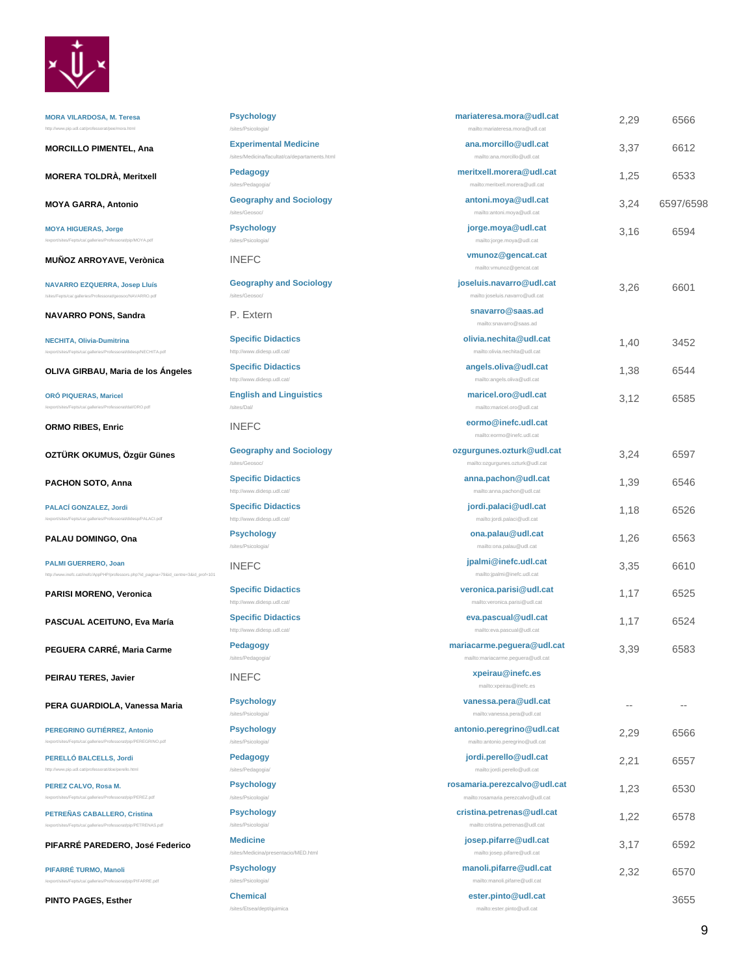

**[MORA VILARDOSA, M. Teresa](http://www.pip.udl.cat/professorat/pee/mora.html)** <http://www.pip.udl.cat/professorat/pee/mora.html>

**MORCILLO PIMENTEL, Ana Experimental** 

**MORERA TOLDRÀ, Meritxell Pedagogy**

**MOYA GARRA, Antonio Geography and Sociology** 

**MOYA HIGUERAS, Jorge** /export/sites/Fepts/ca/.galleries/Professorat/pip/MOYA.pdf

**MUÑOZ ARROYAVE, Verònica INEFC** 

**NAVARRO EZQUERRA, Josep Lluís** s/ca/.galleries/Professorat/geosoc/NAVARRO.pdf

**NAVARRO PONS, Sandra** P. Extern

**NECHITA, Olivia-Dumitrina** sp/NECHITA.pdf

**OLIVA GIRBAU, Maria de los Ángeles Specific Dida** 

**ORÓ PIQUERAS, Maricel** /export/sites/Fepts/ca/.galleries/Professorat/dal/ORO.pdf

**ORMO RIBES, Enric example 20 INEFC.** 

**OZTÜRK OKUMUS, Özgür Günes Geography a** 

**PACHON SOTO, Anna Specific Didaction** 

**PALACÍ GONZALEZ, Jordi** /export/sites/Fepts/ca/.galleries/Professorat/didesp/PALACI.pdf

**PALAU DOMINGO, Ona Psychology**

**[PALMI GUERRERO, Joan](http://www.inefc.cat/inefc/AppPHP/professors.php?id_pagina=79&id_centre=3&id_prof=101)** [http://www.inefc.cat/inefc/AppPHP/professors.php?id\\_pagina=79&id\\_centre=3&id\\_prof=101](http://www.inefc.cat/inefc/AppPHP/professors.php?id_pagina=79&id_centre=3&id_prof=101)

**PARISI MORENO, Veronica Specific Didaction** 

**PASCUAL ACEITUNO, Eva María Specific Didaction** 

**PEGUERA CARRÉ, Maria Carme Pedagogy**

**PEIRAU TERES, Javier INEFC.** 

**PERA GUARDIOLA, Vanessa Maria Psychology**

**PEREGRINO GUTIÉRREZ, Antonio** /export/sites/Fepts/ca/.galleries/Professorat/pip/PEREGRINO.pdf

**[PERELLÓ BALCELLS, Jordi](http://www.pip.udl.cat/professorat/doe/perello.html)** <http://www.pip.udl.cat/professorat/doe/perello.html>

**PEREZ CALVO, Rosa M.** /export/sites/Fepts/ca/.galleries/Professorat/pip/PEREZ.pdf

**PETREÑAS CABALLERO, Cristina** s/Fepts/ca/.galleries/Professorat/pip/PETREN

**PIFARRÉ PAREDERO, José Federico Medicine**

/export/sites/Fepts/ca/.galleries/Professorat/pip/PIFARRE.pdf

**PIFARRÉ TURMO, Manoli**

**PINTO PAGES, Esther Chemical**

| <b>Psychology</b><br>/sites/Psicologia/                                       | mariateresa.mora@udl.cat<br>mailto:mariateresa.mora@udl.cat         | 2,29 | 6566      |
|-------------------------------------------------------------------------------|---------------------------------------------------------------------|------|-----------|
| <b>Experimental Medicine</b><br>/sites/Medicina/facultat/ca/departaments.html | ana.morcillo@udl.cat<br>mailto:ana.morcillo@udl.cat                 | 3,37 | 6612      |
| Pedagogy<br>/sites/Pedagogia/                                                 | meritxell.morera@udl.cat<br>mailto:meritxell.morera@udl.cat         | 1.25 | 6533      |
| <b>Geography and Sociology</b><br>/sites/Geosoc/                              | antoni.moya@udl.cat<br>mailto:antoni.moya@udl.cat                   | 3,24 | 6597/6598 |
| <b>Psychology</b><br>/sites/Psicologia/                                       | jorge.moya@udl.cat<br>mailto:jorge.moya@udl.cat                     | 3,16 | 6594      |
| <b>INEFC</b>                                                                  | vmunoz@gencat.cat<br>mailto:vmunoz@gencat.cat                       |      |           |
| <b>Geography and Sociology</b><br>/sites/Geosoc/                              | joseluis.navarro@udl.cat<br>mailto:joseluis.navarro@udl.cat         | 3,26 | 6601      |
| P. Extern                                                                     | snavarro@saas.ad<br>mailto:snavarro@saas.ad                         |      |           |
| <b>Specific Didactics</b><br>http://www.didesp.udl.cat/                       | olivia.nechita@udl.cat<br>mailto:olivia.nechita@udl.cat             | 1,40 | 3452      |
| <b>Specific Didactics</b><br>http://www.didesp.udl.cat/                       | angels.oliva@udl.cat<br>mailto:angels.oliva@udl.cat                 | 1,38 | 6544      |
| <b>English and Linguistics</b><br>/sites/Dal/                                 | maricel.oro@udl.cat<br>mailto:maricel.oro@udl.cat                   | 3,12 | 6585      |
| <b>INEFC</b>                                                                  | eormo@inefc.udl.cat<br>mailto:eormo@inefc.udl.cat                   |      |           |
| <b>Geography and Sociology</b><br>/sites/Geosoc/                              | ozgurgunes.ozturk@udl.cat<br>mailto:ozgurgunes.ozturk@udl.cat       | 3,24 | 6597      |
| <b>Specific Didactics</b><br>http://www.didesp.udl.cat/                       | anna.pachon@udl.cat<br>mailto:anna.pachon@udl.cat                   | 1,39 | 6546      |
| <b>Specific Didactics</b><br>http://www.didesp.udl.cat/                       | jordi.palaci@udl.cat<br>mailto:jordi.palaci@udl.cat                 | 1,18 | 6526      |
| <b>Psychology</b><br>/sites/Psicologia/                                       | ona.palau@udl.cat<br>mailto:ona.palau@udl.cat                       | 1,26 | 6563      |
| <b>INEFC</b>                                                                  | jpalmi@inefc.udl.cat<br>mailto:jpalmi@inefc.udl.cat                 | 3,35 | 6610      |
| <b>Specific Didactics</b><br>http://www.didesp.udl.cat/                       | veronica.parisi@udl.cat<br>mailto:veronica.parisi@udl.cat           | 1,17 | 6525      |
| <b>Specific Didactics</b><br>http://www.didesp.udl.cat/                       | eva.pascual@udl.cat<br>mailto:eva.pascual@udl.cat                   | 1,17 | 6524      |
| Pedagogy<br>/sites/Pedagogia/                                                 | mariacarme.peguera@udl.cat<br>mailto:mariacarme.peguera@udl.cat     | 3,39 | 6583      |
| <b>INEFC</b>                                                                  | xpeirau@inefc.es<br>mailto:xpeirau@inefc.es                         |      |           |
| <b>Psychology</b><br>/sites/Psicologia/                                       | vanessa.pera@udl.cat<br>mailto:vanessa.pera@udl.cat                 | $-1$ | $=$ $-$   |
| <b>Psychology</b><br>/sites/Psicologia/                                       | antonio.peregrino@udl.cat<br>mailto:antonio.peregrino@udl.cat       | 2.29 | 6566      |
| Pedagogy<br>/sites/Pedagogia/                                                 | jordi.perello@udl.cat<br>mailto:jordi.perello@udl.cat               | 2,21 | 6557      |
| <b>Psychology</b><br>/sites/Psicologia/                                       | rosamaria.perezcalvo@udl.cat<br>mailto:rosamaria.perezcalvo@udl.cat | 1,23 | 6530      |
| <b>Psychology</b><br>/sites/Psicologia/                                       | cristina.petrenas@udl.cat<br>mailto:cristina.petrenas@udl.cat       | 1,22 | 6578      |
| <b>Medicine</b><br>/sites/Medicina/presentacio/MED.html                       | josep.pifarre@udl.cat<br>mailto:josep.pifarre@udl.cat               | 3,17 | 6592      |
| <b>Psychology</b><br>/sites/Psicologia/                                       | manoli.pifarre@udl.cat<br>mailto:manoli.pifarre@udl.cat             | 2,32 | 6570      |
| <b>Chemical</b>                                                               | ester.pinto@udl.cat                                                 |      | 3655      |

mailto:ester.pinto@udl.cat

/sites/Etsea/dept/quimica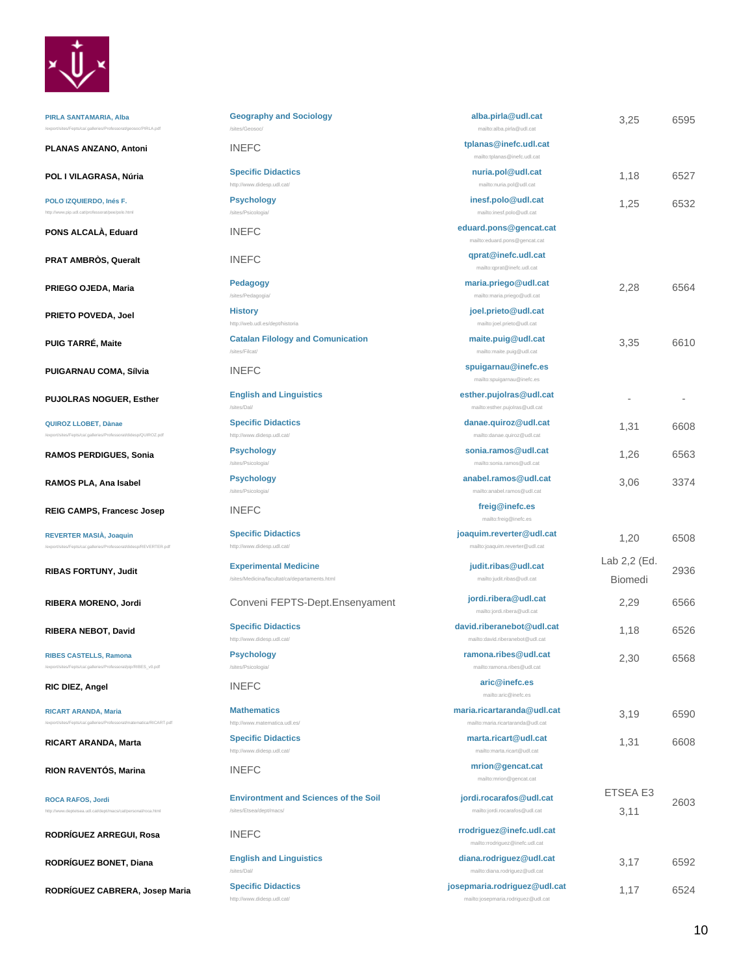

| <b>Geography and Sociology</b><br>/sites/Geosoc/                              | alba.pirla@udl.cat<br>mailto:alba.pirla@udl.cat                      | 3,25                    | 6595 |
|-------------------------------------------------------------------------------|----------------------------------------------------------------------|-------------------------|------|
| <b>INEFC</b>                                                                  | tplanas@inefc.udl.cat<br>mailto:tplanas@inefc.udl.cat                |                         |      |
| <b>Specific Didactics</b><br>http://www.didesp.udl.cat/                       | nuria.pol@udl.cat<br>mailto:nuria.pol@udl.cat                        | 1,18                    | 6527 |
| <b>Psychology</b><br>/sites/Psicologia/                                       | inesf.polo@udl.cat<br>mailto:inesf.polo@udl.cat                      | 1,25                    | 6532 |
| <b>INFFC</b>                                                                  | eduard.pons@gencat.cat<br>mailto:eduard.pons@gencat.cat              |                         |      |
| <b>INEFC</b>                                                                  | qprat@inefc.udl.cat<br>mailto:qprat@inefc.udl.cat                    |                         |      |
| <b>Pedagogy</b><br>/sites/Pedagogia/                                          | maria.priego@udl.cat<br>mailto:maria.priego@udl.cat                  | 2,28                    | 6564 |
| <b>History</b><br>http://web.udl.es/dept/historia                             | joel.prieto@udl.cat<br>mailto:joel.prieto@udl.cat                    |                         |      |
| <b>Catalan Filology and Comunication</b><br>/sites/Filcat/                    | maite.puig@udl.cat<br>mailto:maite.puig@udl.cat                      | 3,35                    | 6610 |
| <b>INEFC</b>                                                                  | spuigarnau@inefc.es<br>mailto:spuigamau@inefc.es                     |                         |      |
| <b>English and Linguistics</b><br>/sites/Dal/                                 | esther.pujolras@udl.cat<br>mailto:esther.pujolras@udl.cat            |                         |      |
| <b>Specific Didactics</b><br>http://www.didesp.udl.cat/                       | danae.quiroz@udl.cat<br>mailto:danae.quiroz@udl.cat                  | 1,31                    | 6608 |
| <b>Psychology</b><br>/sites/Psicologia/                                       | sonia.ramos@udl.cat<br>mailto:sonia.ramos@udl.cat                    | 1,26                    | 6563 |
| <b>Psychology</b><br>/sites/Psicologia/                                       | anabel.ramos@udl.cat<br>mailto:anabel.ramos@udl.cat                  | 3,06                    | 3374 |
| <b>INEFC</b>                                                                  | freig@inefc.es<br>mailto:freig@inefc.es                              |                         |      |
| <b>Specific Didactics</b><br>http://www.didesp.udl.cat/                       | joaquim.reverter@udl.cat<br>mailto:joaquim.reverter@udl.cat          | 1,20                    | 6508 |
| <b>Experimental Medicine</b><br>/sites/Medicina/facultat/ca/departaments.html | judit.ribas@udl.cat<br>mailto:judit.ribas@udl.cat                    | Lab 2,2 (Ed.<br>Biomedi | 2936 |
| Conveni FEPTS-Dept.Ensenyament                                                | jordi.ribera@udl.cat<br>mailto:jordi.ribera@udl.cat                  | 2,29                    | 6566 |
| <b>Specific Didactics</b><br>http://www.didesp.udl.cat/                       | david.riberanebot@udl.cat<br>mailto:david.riberanebot@udl.cat        | 1,18                    | 6526 |
| <b>Psychology</b><br>/sites/Psicologia/                                       | ramona.ribes@udl.cat<br>mailto:ramona.ribes@udl.cat<br>aric@inefc.es | 2,30                    | 6568 |
| <b>INEFC</b>                                                                  | mailto:aric@inefc.es                                                 |                         |      |
| <b>Mathematics</b><br>http://www.matematica.udl.es/                           | maria.ricartaranda@udl.cat<br>mailto:maria.ricartaranda@udl.cat      | 3,19                    | 6590 |
| <b>Specific Didactics</b><br>http://www.didesp.udl.cat/                       | marta.ricart@udl.cat<br>mailto:marta.ricart@udl.cat                  | 1,31                    | 6608 |
| <b>INEFC</b>                                                                  | mrion@gencat.cat<br>mailto:mrion@gencat.cat                          |                         |      |
| <b>Environtment and Sciences of the Soil</b>                                  | jordi.rocarafos@udl.cat                                              | ETSEA E3                | 2603 |
| /sites/Etsea/dept/macs/<br><b>INEFC</b>                                       | mailto:jordi.rocarafos@udl.cat<br>rrodriguez@inefc.udl.cat           | 3,11                    |      |
| <b>English and Linguistics</b>                                                | mailto:rrodriguez@inefc.udl.cat<br>diana.rodriguez@udl.cat           | 3,17                    | 6592 |
| /sites/Dal/<br><b>Specific Didactics</b>                                      | mailto:diana.rodriguez@udl.cat<br>josepmaria.rodriguez@udl.cat       | 1.17                    | 6524 |

mailto:josepmaria.rodriguez@udl.cat

**PIRLA SANTAMARIA, Alba** /export/sites/Fepts/ca/.galleries/Professorat/geosoc/PIRLA.pdf

**PLANAS ANZANO, Antoni** 

**POL I VILAGRASA, Núria** 

**[POLO IZQUIERDO, Inés F.](http://www.pip.udl.cat/professorat/pee/polo.html)** <http://www.pip.udl.cat/professorat/pee/polo.html>

**PONS ALCALÀ, Eduard** 

**PRAT AMBRÒS, Queralt** 

**PRIEGO OJEDA, Maria Pedagogy**

**PRIETO POVEDA, Joel** 

**PUIG TARRÉ, Maite** 

**PUIGARNAU COMA, Sílvia** 

**PUJOLRAS NOGUER, Esther** 

**QUIROZ LLOBET, Dànae**

**RAMOS PERDIGUES, Sonia** 

/export/sites/Fepts/ca/.galleries/Professorat/didesp/QUIROZ.pdf

**RAMOS PLA, Ana Isabel** 

**REIG CAMPS, Francesc Josep** 

**REVERTER MASIÀ, Joaquin** /export/sites/Fepts/ca/.galleries/Professorat/didesp/REVERTER.pdf

**RIBAS FORTUNY, Judit** 

**RIBERA MORENO, Jordi** 

**RIBERA NEBOT, David** 

**RIBES CASTELLS, Ramona** /export/sites/Fepts/ca/.galleries/Professorat/pip/RIBES\_v0.pdf

**RIC DIEZ, Angel** 

**RICART ARANDA, Maria** /export/sites/Fepts/ca/.galleries/Professorat/matematica/RICART.pdf

**RICART ARANDA, Marta** 

**RION RAVENTÓS, Marina** 

**[ROCA RAFOS, Jordi](http://www.deptetsea.udl.cat/dept/macs/cat/personal/roca.html)** <http://www.deptetsea.udl.cat/dept/macs/cat/personal/roca.html>

**RODRÍGUEZ ARREGUI, Rosa** 

**RODRÍGUEZ BONET, Diana** 

**RODRÍGUEZ CABRERA, Josep Maria [Specific Didactics](http://www.didesp.udl.cat/)**

<http://www.didesp.udl.cat/>

10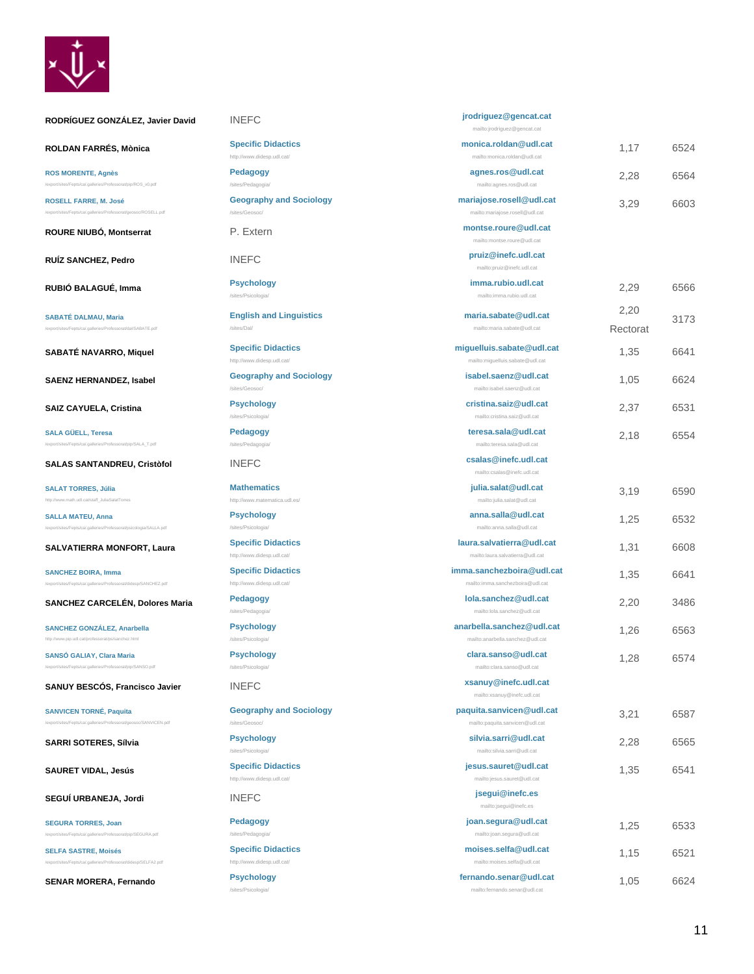

| RODRÍGUEZ GONZÁLEZ, Javier David                                                                    | <b>INEFC</b>                                            | jrodriguez@gencat.cat<br>mailto:jrodriguez@gencat.cat         |                  |      |
|-----------------------------------------------------------------------------------------------------|---------------------------------------------------------|---------------------------------------------------------------|------------------|------|
| ROLDAN FARRÉS, Mònica                                                                               | <b>Specific Didactics</b><br>http://www.didesp.udl.cat/ | monica.roldan@udl.cat<br>mailto:monica.roldan@udl.cat         | 1,17             | 6524 |
| <b>ROS MORENTE, Agnès</b><br>/export/sites/Fepts/ca/.galleries/Professorat/pip/ROS_v0.pdf           | <b>Pedagogy</b><br>/sites/Pedagogia/                    | agnes.ros@udl.cat<br>mailto:agnes.ros@udl.cat                 | 2,28             | 6564 |
| <b>ROSELL FARRE, M. José</b><br>/export/sites/Fepts/ca/.galleries/Professorat/geosoc/ROSELL.pdf     | <b>Geography and Sociology</b><br>/sites/Geosoc/        | mariajose.rosell@udl.cat<br>mailto:mariajose.rosell@udl.cat   | 3,29             | 6603 |
| ROURE NIUBÓ, Montserrat                                                                             | P. Extern                                               | montse.roure@udl.cat<br>mailto:montse.roure@udl.cat           |                  |      |
| <b>RUIZ SANCHEZ, Pedro</b>                                                                          | <b>INEFC</b>                                            | pruiz@inefc.udl.cat<br>mailto:pruiz@inefc.udl.cat             |                  |      |
| RUBIÓ BALAGUÉ, Imma                                                                                 | <b>Psychology</b><br>/sites/Psicologia/                 | imma.rubio.udl.cat<br>mailto:imma.rubio.udl.cat               | 2,29             | 6566 |
| <b>SABATÉ DALMAU, Maria</b><br>/export/sites/Fepts/ca/.galleries/Professorat/dal/SABATE.pdf         | <b>English and Linguistics</b><br>/sites/Dal/           | maria.sabate@udl.cat<br>mailto:maria.sabate@udl.cat           | 2,20<br>Rectorat | 3173 |
| SABATÉ NAVARRO, Miquel                                                                              | <b>Specific Didactics</b><br>http://www.didesp.udl.cat/ | miguelluis.sabate@udl.cat<br>mailto:miguelluis.sabate@udl.cat | 1,35             | 6641 |
| <b>SAENZ HERNANDEZ, Isabel</b>                                                                      | <b>Geography and Sociology</b><br>/sites/Geosoc/        | isabel.saenz@udl.cat<br>mailto:isabel.saenz@udl.cat           | 1,05             | 6624 |
| <b>SAIZ CAYUELA, Cristina</b>                                                                       | <b>Psychology</b><br>/sites/Psicologia/                 | cristina.saiz@udl.cat<br>mailto:cristina.saiz@udl.cat         | 2,37             | 6531 |
| <b>SALA GÜELL, Teresa</b><br>/export/sites/Fepts/ca/.galleries/Professorat/pip/SALA_T.pdf           | <b>Pedagogy</b><br>/sites/Pedagogia/                    | teresa.sala@udl.cat<br>mailto:teresa.sala@udl.cat             | 2,18             | 6554 |
| <b>SALAS SANTANDREU, Cristòfol</b>                                                                  | <b>INEFC</b>                                            | csalas@inefc.udl.cat<br>mailto:csalas@inefc.udl.cat           |                  |      |
| <b>SALAT TORRES, Júlia</b><br>http://www.math.udl.cat/staff_JuliaSalatTorres                        | <b>Mathematics</b><br>http://www.matematica.udl.es/     | julia.salat@udl.cat<br>mailto:julia.salat@udl.cat             | 3,19             | 6590 |
| <b>SALLA MATEU, Anna</b><br>/export/sites/Fepts/ca/.galleries/Professorat/psicologia/SALLA.pdf      | <b>Psychology</b><br>/sites/Psicologia/                 | anna.salla@udl.cat<br>mailto:anna.salla@udl.cat               | 1,25             | 6532 |
| <b>SALVATIERRA MONFORT, Laura</b>                                                                   | <b>Specific Didactics</b><br>http://www.didesp.udl.cat/ | laura.salvatierra@udl.cat<br>mailto:laura.salvatierra@udl.cat | 1,31             | 6608 |
| <b>SANCHEZ BOIRA, Imma</b><br>/export/sites/Fepts/ca/.galleries/Professorat/didesp/SANCHEZ.pdf      | <b>Specific Didactics</b><br>http://www.didesp.udl.cat/ | imma.sanchezboira@udl.cat<br>mailto:imma.sanchezboira@udl.cat | 1,35             | 6641 |
| SANCHEZ CARCELÉN, Dolores Maria                                                                     | <b>Pedagogy</b><br>/sites/Pedagogia/                    | lola.sanchez@udl.cat<br>mailto:lola.sanchez@udl.cat           | 2,20             | 3486 |
| <b>SANCHEZ GONZÁLEZ, Anarbella</b><br>http://www.pip.udl.cat/professorat/ps/sanchez.html            | <b>Psychology</b><br>/sites/Psicologia/                 | anarbella.sanchez@udl.cat<br>mailto:anarbella.sanchez@udl.cat | 1,26             | 6563 |
| <b>SANSÓ GALIAY, Clara Maria</b><br>/export/sites/Fepts/ca/.galleries/Professorat/pip/SANSO.pdf     | <b>Psychology</b><br>/sites/Psicologia/                 | clara.sanso@udl.cat<br>mailto:clara.sanso@udl.cat             | 1,28             | 6574 |
| SANUY BESCOS, Francisco Javier                                                                      | <b>INEFC</b>                                            | xsanuy@inefc.udl.cat<br>mailto:xsanuy@inefc.udl.cat           |                  |      |
| <b>SANVICEN TORNÉ, Paquita</b><br>/export/sites/Fepts/ca/.galleries/Professorat/geosoc/SANVICEN.pdf | <b>Geography and Sociology</b><br>/sites/Geosoc/        | paquita.sanvicen@udl.cat<br>mailto:paquita.sanvicen@udl.cat   | 3,21             | 6587 |
| SARRI SOTERES, Sílvia                                                                               | <b>Psychology</b><br>/sites/Psicologia/                 | silvia.sarri@udl.cat<br>mailto:silvia.sarri@udl.cat           | 2,28             | 6565 |
| <b>SAURET VIDAL, Jesús</b>                                                                          | <b>Specific Didactics</b><br>http://www.didesp.udl.cat/ | jesus.sauret@udl.cat<br>mailto:jesus.sauret@udl.cat           | 1,35             | 6541 |
| SEGUI URBANEJA, Jordi                                                                               | <b>INEFC</b>                                            | jsegui@inefc.es<br>mailto:jsegui@inefc.es                     |                  |      |
| <b>SEGURA TORRES, Joan</b><br>/export/sites/Fepts/ca/.galleries/Professorat/pip/SEGURA.pdf          | Pedagogy<br>/sites/Pedagogia/                           | joan.segura@udl.cat<br>mailto:joan.segura@udl.cat             | 1,25             | 6533 |
| <b>SELFA SASTRE, Moisés</b>                                                                         | <b>Specific Didactics</b>                               | moises.selfa@udl.cat                                          | 1,15             | 6521 |

mailto:moises.selfa@udl.cat

**fernando.senar@udl.cat** mailto:fernando.senar@udl.cat

/export/sites/Fepts/ca/.galleries/Professorat/didesp/SELFA2.pdf

**SENAR MORERA, Fernando Psychology**

<http://www.didesp.udl.cat/>

/sites/Psicologia/

1,05 6624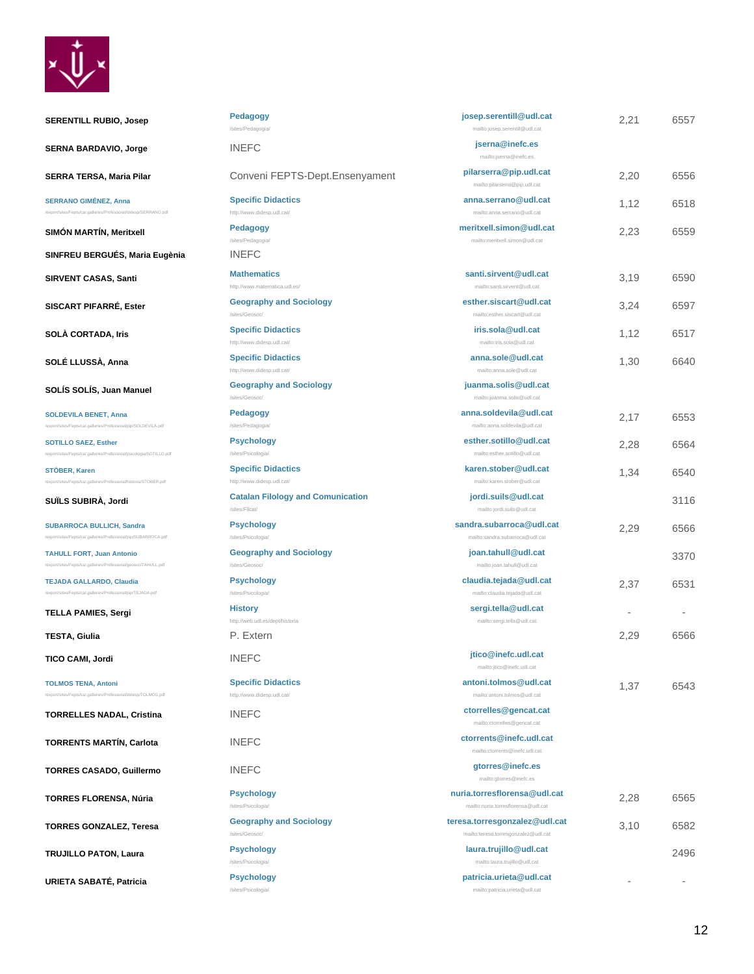

| <b>SERENTILL RUBIO, Josep</b>                                                                       | Pedagogy<br>/sites/Pedagogia/                              | josep.serentill@udl.cat<br>mailto:josep.serentill@udl.cat             | 2,21 | 6557 |
|-----------------------------------------------------------------------------------------------------|------------------------------------------------------------|-----------------------------------------------------------------------|------|------|
| <b>SERNA BARDAVIO, Jorge</b>                                                                        | <b>INEFC</b>                                               | jserna@inefc.es<br>mailto:jserna@inefc.es                             |      |      |
| SERRA TERSA, Maria Pilar                                                                            | Conveni FEPTS-Dept.Ensenyament                             | pilarserra@pip.udl.cat<br>mailto:pilarserra@pip.udl.cat               | 2,20 | 6556 |
| <b>SERRANO GIMÉNEZ, Anna</b><br>/export/sites/Fepts/ca/.galleries/Professorat/didesp/SERRANO.pdf    | <b>Specific Didactics</b><br>http://www.didesp.udl.cat/    | anna.serrano@udl.cat<br>mailto:anna.serrano@udl.cat                   | 1,12 | 6518 |
| <b>SIMON MARTIN, Meritxell</b>                                                                      | Pedagogy<br>/sites/Pedagogia/                              | meritxell.simon@udl.cat<br>mailto:meritxell.simon@udl.cat             | 2,23 | 6559 |
| SINFREU BERGUÉS, Maria Eugènia                                                                      | <b>INEFC</b>                                               |                                                                       |      |      |
| <b>SIRVENT CASAS, Santi</b>                                                                         | <b>Mathematics</b><br>http://www.matematica.udl.es/        | santi.sirvent@udl.cat<br>mailto:santi.sirvent@udl.cat                 | 3.19 | 6590 |
| SISCART PIFARRÉ, Ester                                                                              | <b>Geography and Sociology</b><br>/sites/Geosoc/           | esther.siscart@udl.cat<br>mailto:esther.siscart@udl.cat               | 3,24 | 6597 |
| SOLÀ CORTADA, Iris                                                                                  | <b>Specific Didactics</b><br>http://www.didesp.udl.cat/    | iris.sola@udl.cat<br>mailto:iris.sola@udl.cat                         | 1,12 | 6517 |
| SOLÉ LLUSSÀ, Anna                                                                                   | <b>Specific Didactics</b><br>http://www.didesp.udl.cat/    | anna.sole@udl.cat<br>mailto:anna.sole@udl.cat                         | 1,30 | 6640 |
| SOLÍS SOLÍS, Juan Manuel                                                                            | <b>Geography and Sociology</b><br>/sites/Geosoc/           | juanma.solis@udl.cat<br>mailto:juanma.solis@udl.cat                   |      |      |
| <b>SOLDEVILA BENET, Anna</b><br>/export/sites/Fepts/ca/.galleries/Professorat/pip/SOLDEVILA.pdf     | <b>Pedagogy</b><br>/sites/Pedagogia/                       | anna.soldevila@udl.cat<br>mailto:anna.soldevila@udl.cat               | 2,17 | 6553 |
| <b>SOTILLO SAEZ, Esther</b><br>/export/sites/Fepts/ca/.galleries/Professorat/psicologia/SOTILLO.pdf | <b>Psychology</b><br>/sites/Psicologia/                    | esther.sotillo@udl.cat<br>mailto:esther.sotillo@udl.cat               | 2,28 | 6564 |
| STÖBER, Karen<br>/export/sites/Fepts/ca/.galleries/Professorat/historia/STOBER.pdf                  | <b>Specific Didactics</b><br>http://www.didesp.udl.cat/    | karen.stober@udl.cat<br>mailto:karen.stober@udl.cat                   | 1,34 | 6540 |
| SUÏLS SUBIRÀ, Jordi                                                                                 | <b>Catalan Filology and Comunication</b><br>/sites/Filcat/ | jordi.suils@udl.cat<br>mailto:jordi.suils@udl.cat                     |      | 3116 |
| <b>SUBARROCA BULLICH, Sandra</b><br>/export/sites/Fepts/ca/.galleries/Professorat/pip/SUBARROCA.pdf | <b>Psychology</b><br>/sites/Psicologia/                    | sandra.subarroca@udl.cat<br>mailto:sandra.subarroca@udl.cat           | 2,29 | 6566 |
| <b>TAHULL FORT, Juan Antonio</b><br>/export/sites/Fepts/ca/.galleries/Professorat/geosoc/TAHULL.pdf | <b>Geography and Sociology</b><br>/sites/Geosoc/           | joan.tahull@udl.cat<br>mailto:joan.tahull@udl.cat                     |      | 3370 |
| <b>TEJADA GALLARDO, Claudia</b><br>/export/sites/Fepts/ca/.galleries/Professorat/pip/TEJADA.pdf     | <b>Psychology</b><br>/sites/Psicologia/                    | claudia.tejada@udl.cat<br>mailto:claudia.tejada@udl.cat               | 2,37 | 6531 |
| <b>TELLA PAMIES, Sergi</b>                                                                          | <b>History</b><br>http://web.udl.es/dept/historia          | sergi.tella@udl.cat<br>mailto:sergi.tella@udl.cat                     |      |      |
| <b>TESTA, Giulia</b>                                                                                | P. Extern                                                  |                                                                       | 2,29 | 6566 |
| TICO CAMI, Jordi                                                                                    | <b>INEFC</b>                                               | jtico@inefc.udl.cat<br>mailto:jtico@inefc.udl.cat                     |      |      |
| <b>TOLMOS TENA, Antoni</b><br>/export/sites/Fepts/ca/.galleries/Professorat/didesp/TOLMOS.pdf       | <b>Specific Didactics</b><br>http://www.didesp.udl.cat/    | antoni.tolmos@udl.cat<br>mailto:antoni.tolmos@udl.cat                 | 1,37 | 6543 |
| <b>TORRELLES NADAL, Cristina</b>                                                                    | <b>INEFC</b>                                               | ctorrelles@gencat.cat<br>mailto:ctorrelles@gencat.cat                 |      |      |
| <b>TORRENTS MARTIN, Carlota</b>                                                                     | <b>INEFC</b>                                               | ctorrents@inefc.udl.cat<br>mailto:ctorrents@inefc.udl.cat             |      |      |
| <b>TORRES CASADO, Guillermo</b>                                                                     | <b>INEFC</b>                                               | gtorres@inefc.es<br>mailto:gtorres@inefc.es                           |      |      |
| <b>TORRES FLORENSA, Núria</b>                                                                       | <b>Psychology</b><br>/sites/Psicologia/                    | nuria.torresflorensa@udl.cat<br>mailto:nuria.torresflorensa@udl.cat   | 2,28 | 6565 |
| <b>TORRES GONZALEZ, Teresa</b>                                                                      | <b>Geography and Sociology</b><br>/sites/Geosoc/           | teresa.torresgonzalez@udl.cat<br>mailto:teresa.torresgonzalez@udl.cat | 3,10 | 6582 |
| <b>TRUJILLO PATON, Laura</b>                                                                        | <b>Psychology</b><br>/sites/Psicologia/                    | laura.trujillo@udl.cat<br>mailto:laura.trujillo@udl.cat               |      | 2496 |
| URIETA SABATÉ, Patricia                                                                             | <b>Psychology</b><br>/sites/Psicologia/                    | patricia.urieta@udl.cat<br>mailto:patricia.urieta@udl.cat             |      |      |